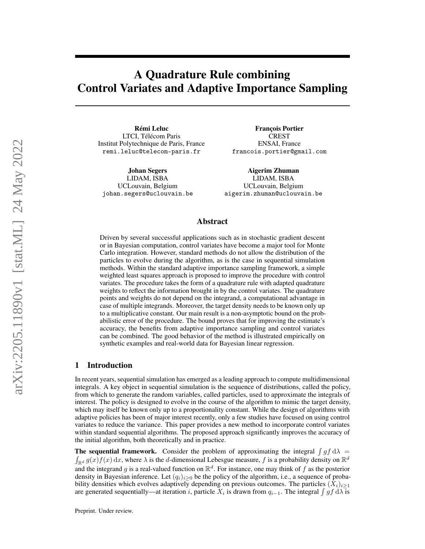# A Quadrature Rule combining Control Variates and Adaptive Importance Sampling

Rémi Leluc LTCI, Télécom Paris Institut Polytechnique de Paris, France remi.leluc@telecom-paris.fr

Johan Segers LIDAM, ISBA UCLouvain, Belgium johan.segers@uclouvain.be

François Portier CREST ENSAI, France francois.portier@gmail.com

Aigerim Zhuman LIDAM, ISBA UCLouvain, Belgium aigerim.zhuman@uclouvain.be

## Abstract

Driven by several successful applications such as in stochastic gradient descent or in Bayesian computation, control variates have become a major tool for Monte Carlo integration. However, standard methods do not allow the distribution of the particles to evolve during the algorithm, as is the case in sequential simulation methods. Within the standard adaptive importance sampling framework, a simple weighted least squares approach is proposed to improve the procedure with control variates. The procedure takes the form of a quadrature rule with adapted quadrature weights to reflect the information brought in by the control variates. The quadrature points and weights do not depend on the integrand, a computational advantage in case of multiple integrands. Moreover, the target density needs to be known only up to a multiplicative constant. Our main result is a non-asymptotic bound on the probabilistic error of the procedure. The bound proves that for improving the estimate's accuracy, the benefits from adaptive importance sampling and control variates can be combined. The good behavior of the method is illustrated empirically on synthetic examples and real-world data for Bayesian linear regression.

## 1 Introduction

In recent years, sequential simulation has emerged as a leading approach to compute multidimensional integrals. A key object in sequential simulation is the sequence of distributions, called the policy, from which to generate the random variables, called particles, used to approximate the integrals of interest. The policy is designed to evolve in the course of the algorithm to mimic the target density, which may itself be known only up to a proportionality constant. While the design of algorithms with adaptive policies has been of major interest recently, only a few studies have focused on using control variates to reduce the variance. This paper provides a new method to incorporate control variates within standard sequential algorithms. The proposed approach significantly improves the accuracy of the initial algorithm, both theoretically and in practice.

**The sequential framework.** Consider the problem of approximating the integral  $\int gf d\lambda$  $\int_{\mathbb{R}^d} g(x) f(x) dx$ , where  $\lambda$  is the d-dimensional Lebesgue measure, f is a probability density on  $\mathbb{R}^d$ and the integrand g is a real-valued function on  $\mathbb{R}^d$ . For instance, one may think of f as the posterior density in Bayesian inference. Let  $(q_i)_{i\geq 0}$  be the policy of the algorithm, i.e., a sequence of probability densities which evolves adaptively depending on previous outcomes. The particles  $(X_i)_{i\geq 1}$ are generated sequentially—at iteration *i*, particle  $X_i$  is drawn from  $q_{i-1}$ . The integral  $\int gf \, d\lambda$  is

Preprint. Under review.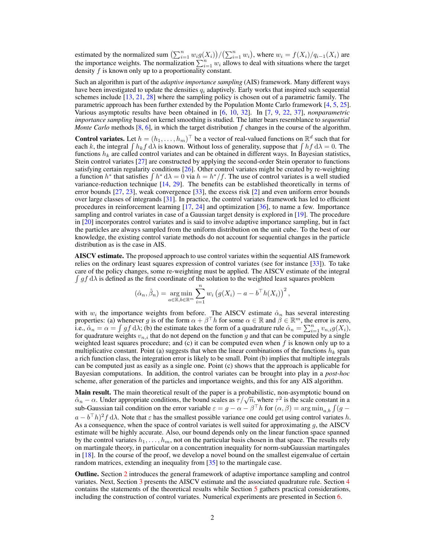estimated by the normalized sum  $\left(\sum_{i=1}^n w_i g(X_i)\right) / \left(\sum_{i=1}^n w_i\right)$ , where  $w_i = f(X_i) / q_{i-1}(X_i)$  are the importance weights. The normalization  $\sum_{i=1}^{n} w_i$  allows to deal with situations where the target density f is known only up to a proportionality constant.

Such an algorithm is part of the *adaptive importance sampling* (AIS) framework. Many different ways have been investigated to update the densities  $q_i$  adaptively. Early works that inspired such sequential schemes include  $[13, 21, 28]$  $[13, 21, 28]$  $[13, 21, 28]$  $[13, 21, 28]$  $[13, 21, 28]$  where the sampling policy is chosen out of a parametric family. The parametric approach has been further extended by the Population Monte Carlo framework [\[4,](#page-9-2) [5,](#page-9-3) [25\]](#page-10-1). Various asymptotic results have been obtained in [\[6,](#page-9-4) [10,](#page-9-5) [32\]](#page-10-2). In [\[7,](#page-9-6) [9,](#page-9-7) [22,](#page-10-3) [37\]](#page-10-4), *nonparametric importance sampling* based on kernel smoothing is studied. The latter bears resemblance to *sequential Monte Carlo* methods  $[8, 6]$  $[8, 6]$  $[8, 6]$ , in which the target distribution f changes in the course of the algorithm.

**Control variates.** Let  $h = (h_1, \ldots, h_m)^\top$  be a vector of real-valued functions on  $\mathbb{R}^d$  such that for each k, the integral  $\int h_k f d\lambda$  is known. Without loss of generality, suppose that  $\int h f d\lambda = 0$ . The functions  $h_k$  are called control variates and can be obtained in different ways. In Bayesian statistics, Stein control variates [\[27\]](#page-10-5) are constructed by applying the second-order Stein operator to functions satisfying certain regularity conditions  $[26]$ . Other control variates might be created by re-weighting a function h<sup>\*</sup> that satisfies  $\int h^* d\lambda = 0$  via  $h = h^*/f$ . The use of control variates is a well studied variance-reduction technique [\[14,](#page-9-9) [29\]](#page-10-7). The benefits can be established theoretically in terms of error bounds  $[27, 23]$  $[27, 23]$  $[27, 23]$ , weak convergence  $[33]$ , the excess risk  $[2]$  and even uniform error bounds over large classes of integrands [\[31\]](#page-10-10). In practice, the control variates framework has led to efficient procedures in reinforcement learning [\[17,](#page-9-11) [24\]](#page-10-11) and optimization [\[36\]](#page-10-12), to name a few. Importance sampling and control variates in case of a Gaussian target density is explored in [\[19\]](#page-9-12). The procedure in [\[20\]](#page-9-13) incorporates control variates and is said to involve adaptive importance sampling, but in fact the particles are always sampled from the uniform distribution on the unit cube. To the best of our knowledge, the existing control variate methods do not account for sequential changes in the particle distribution as is the case in AIS.

AISCV estimate. The proposed approach to use control variates within the sequential AIS framework relies on the ordinary least squares expression of control variates (see for instance [\[33\]](#page-10-9)). To take care of the policy changes, some re-weighting must be applied. The AISCV estimate of the integral  $\int gf d\lambda$  is defined as the first coordinate of the solution to the weighted least squares problem

$$
(\hat{\alpha}_n, \hat{\beta}_n) = \underset{a \in \mathbb{R}, b \in \mathbb{R}^m}{\arg \min} \sum_{i=1}^n w_i \left( g(X_i) - a - b^{\top} h(X_i) \right)^2,
$$

with  $w_i$  the importance weights from before. The AISCV estimate  $\hat{\alpha}_n$  has several interesting properties: (a) whenever g is of the form  $\alpha + \beta^{\top}h$  for some  $\alpha \in \mathbb{R}$  and  $\beta \in \mathbb{R}^m$ , the error is zero, i.e.,  $\hat{\alpha}_n = \alpha = \int gf \, d\lambda$ ; (b) the estimate takes the form of a quadrature rule  $\hat{\alpha}_n = \sum_{i=1}^n v_{n,i} g(X_i)$ , for quadrature weights  $v_{n,i}$  that do not depend on the function g and that can be computed by a single weighted least squares procedure; and  $(c)$  it can be computed even when  $f$  is known only up to a multiplicative constant. Point (a) suggests that when the linear combinations of the functions  $h_k$  span a rich function class, the integration error is likely to be small. Point (b) implies that multiple integrals can be computed just as easily as a single one. Point (c) shows that the approach is applicable for Bayesian computations. In addition, the control variates can be brought into play in a *post-hoc* scheme, after generation of the particles and importance weights, and this for any AIS algorithm.

Main result. The main theoretical result of the paper is a probabilistic, non-asymptotic bound on **Main result.** The main ineoretical result of the paper is a probabilistic, non-asymptotic bound on  $\hat{\alpha}_n - \alpha$ . Under appropriate conditions, the bound scales as  $\tau / \sqrt{n}$ , where  $\tau^2$  is the scale constant in a sub-Gaussian tail condition on the error variable  $\varepsilon = g - \alpha - \beta^{\top} h$  for  $(\alpha, \beta) = \arg \min_{a, b} \int (g - \beta)$  $a - b^{\top}h$ <sup>2</sup> d $\lambda$ . Note that  $\varepsilon$  has the smallest possible variance one could get using control variates h. As a consequence, when the space of control variates is well suited for approximating g, the AISCV estimate will be highly accurate. Also, our bound depends only on the linear function space spanned by the control variates  $h_1, \ldots, h_m$ , not on the particular basis chosen in that space. The results rely on martingale theory, in particular on a concentration inequality for norm-subGaussian martingales in [\[18\]](#page-9-14). In the course of the proof, we develop a novel bound on the smallest eigenvalue of certain random matrices, extending an inequality from [\[35\]](#page-10-13) to the martingale case.

Outline. Section [2](#page-2-0) introduces the general framework of adaptive importance sampling and control variates. Next, Section [3](#page-3-0) presents the AISCV estimate and the associated quadrature rule. Section [4](#page-4-0) contains the statements of the theoretical results while Section [5](#page-6-0) gathers practical considerations, including the construction of control variates. Numerical experiments are presented in Section [6.](#page-7-0)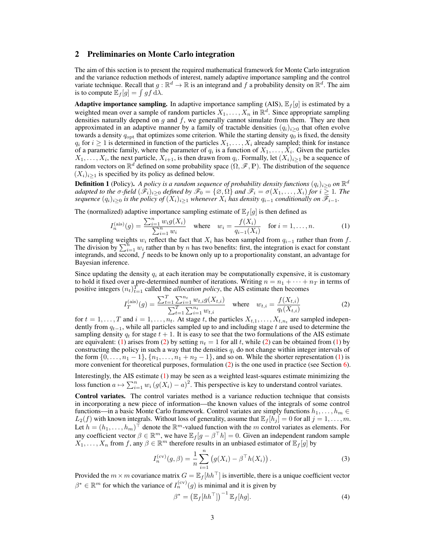# <span id="page-2-0"></span>2 Preliminaries on Monte Carlo integration

The aim of this section is to present the required mathematical framework for Monte Carlo integration and the variance reduction methods of interest, namely adaptive importance sampling and the control variate technique. Recall that  $g : \mathbb{R}^d \to \mathbb{R}$  is an integrand and f a probability density on  $\mathbb{R}^d$ . The aim is to compute  $\mathbb{E}_f[g] = \int gf \, d\lambda$ .

**Adaptive importance sampling.** In adaptive importance sampling (AIS),  $\mathbb{E}_f[g]$  is estimated by a weighted mean over a sample of random particles  $X_1, \ldots, X_n$  in  $\mathbb{R}^d$ . Since appropriate sampling densities naturally depend on  $q$  and  $f$ , we generally cannot simulate from them. They are then approximated in an adaptive manner by a family of tractable densities  $(q_i)_{i\geq 0}$  that often evolve towards a density  $q_{\text{opt}}$  that optimizes some criterion. While the starting density  $q_0$  is fixed, the density  $q_i$  for  $i \geq 1$  is determined in function of the particles  $X_1, \ldots, X_i$  already sampled; think for instance of a parametric family, where the parameter of  $q_i$  is a function of  $X_1, \ldots, X_i$ . Given the particles  $X_1, \ldots, X_i$ , the next particle,  $X_{i+1}$ , is then drawn from  $q_i$ . Formally, let  $(X_i)_{i \geq 1}$  be a sequence of random vectors on  $\mathbb{R}^d$  defined on some probability space  $(\Omega, \mathscr{F}, \mathbb{P})$ . The distribution of the sequence  $(X_i)_{i\geq 1}$  is specified by its policy as defined below.

<span id="page-2-4"></span>**Definition 1** (Policy). A policy is a random sequence of probability density functions  $(q_i)_{i\geq 0}$  on  $\mathbb{R}^d$ *adapted to the*  $\sigma$ -field  $(\hat{\mathscr{F}}_i)_{i>0}$  *defined by*  $\mathscr{F}_0 = {\emptyset, \Omega}$  *and*  $\mathscr{F}_i = \sigma(X_1, \ldots, X_i)$  for  $i \geq 1$ *. The sequence*  $(q_i)_{i>0}$  *is the policy of*  $(X_i)_{i>1}$  *whenever*  $X_i$  *has density*  $q_{i-1}$  *conditionally on*  $\mathcal{F}_{i-1}$ *.* 

The (normalized) adaptive importance sampling estimate of  $\mathbb{E}_f[g]$  is then defined as

<span id="page-2-1"></span>
$$
I_n^{(\text{ais})}(g) = \frac{\sum_{i=1}^n w_i g(X_i)}{\sum_{i=1}^n w_i} \quad \text{where} \quad w_i = \frac{f(X_i)}{q_{i-1}(X_i)} \quad \text{for } i = 1, \dots, n. \tag{1}
$$

The sampling weights  $w_i$  reflect the fact that  $X_i$  has been sampled from  $q_{i-1}$  rather than from f. The division by  $\sum_{i=1}^{n} w_i$  rather than by n has two benefits: first, the integration is exact for constant integrands, and second, f needs to be known only up to a proportionality constant, an advantage for Bayesian inference.

Since updating the density  $q_i$  at each iteration may be computationally expensive, it is customary to hold it fixed over a pre-determined number of iterations. Writing  $n = n_1 + \cdots + n_T$  in terms of positive integers  $(n_t)_{t=1}^T$  called the *allocation policy*, the AIS estimate then becomes

<span id="page-2-2"></span>
$$
I_T^{(\text{ais})}(g) = \frac{\sum_{t=1}^T \sum_{i=1}^{n_t} w_{t,i} g(X_{t,i})}{\sum_{t=1}^T \sum_{i=1}^{n_t} w_{t,i}} \quad \text{where} \quad w_{t,i} = \frac{f(X_{t,i})}{q_t(X_{t,i})}
$$
(2)

for  $t = 1, \ldots, T$  and  $i = 1, \ldots, n_t$ . At stage t, the particles  $X_{t,1}, \ldots, X_{t,n_t}$  are sampled independently from  $q_{t-1}$ , while all particles sampled up to and including stage t are used to determine the sampling density  $q_t$  for stage  $t + 1$ . It is easy to see that the two formulations of the AIS estimate are equivalent: [\(1\)](#page-2-1) arises from [\(2\)](#page-2-2) by setting  $n_t = 1$  for all t, while (2) can be obtained from (1) by constructing the policy in such a way that the densities  $q_i$  do not change within integer intervals of the form  $\{0, \ldots, n_1-1\}$ ,  $\{n_1, \ldots, n_1+n_2-1\}$ , and so on. While the shorter representation [\(1\)](#page-2-1) is more convenient for theoretical purposes, formulation [\(2\)](#page-2-2) is the one used in practice (see Section [6\)](#page-7-0).

Interestingly, the AIS estimate [\(1\)](#page-2-1) may be seen as a weighted least-squares estimate minimizing the loss function  $a \mapsto \sum_{i=1}^n w_i (g(X_i) - a)^2$ . This perspective is key to understand control variates.

Control variates. The control variates method is a variance reduction technique that consists in incorporating a new piece of information—the known values of the integrals of some control functions—in a basic Monte Carlo framework. Control variates are simply functions  $h_1, \ldots, h_m \in$  $L_2(f)$  with known integrals. Without loss of generality, assume that  $\mathbb{E}_f[h_j] = 0$  for all  $j = 1, \ldots, m$ . Let  $h = (h_1, \ldots, h_m)^\top$  denote the  $\mathbb{R}^m$ -valued function with the m control variates as elements. For any coefficient vector  $\beta \in \mathbb{R}^m$ , we have  $\mathbb{E}_f[g - \beta^\top h] = 0$ . Given an independent random sample  $X_1, \ldots, X_n$  from f, any  $\beta \in \mathbb{R}^m$  therefore results in an unbiased estimator of  $\mathbb{E}_f[g]$  by

$$
I_n^{(cv)}(g,\beta) = \frac{1}{n} \sum_{i=1}^n (g(X_i) - \beta^\top h(X_i)).
$$
 (3)

Provided the  $m \times m$  covariance matrix  $G = \mathbb{E}_f[h^h]$  is invertible, there is a unique coefficient vector  $\beta^* \in \mathbb{R}^m$  for which the variance of  $I_n^{(cv)}(g)$  is minimal and it is given by

<span id="page-2-5"></span><span id="page-2-3"></span>
$$
\beta^* = \left(\mathbb{E}_f[hh^\top]\right)^{-1} \mathbb{E}_f[hg].\tag{4}
$$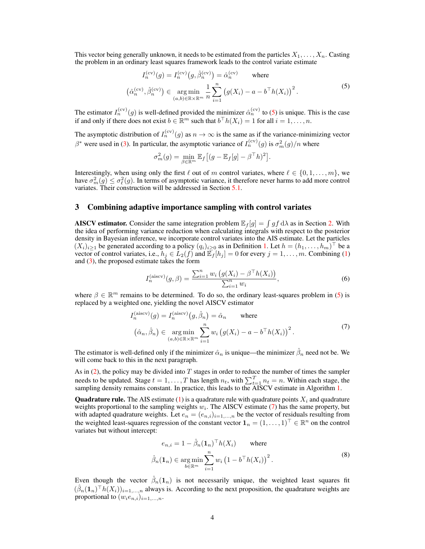This vector being generally unknown, it needs to be estimated from the particles  $X_1, \ldots, X_n$ . Casting the problem in an ordinary least squares framework leads to the control variate estimate

$$
I_n^{(cv)}(g) = I_n^{(cv)}(g, \hat{\beta}_n^{(cv)}) = \hat{\alpha}_n^{(cv)}
$$
 where  

$$
(\hat{\alpha}_n^{(cv)}, \hat{\beta}_n^{(cv)}) \in \underset{(a,b)\in\mathbb{R}\times\mathbb{R}^m}{\arg\min} \frac{1}{n} \sum_{i=1}^n (g(X_i) - a - b^\top h(X_i))^2.
$$
 (5)

The estimator  $I_n^{(cv)}(g)$  is well-defined provided the minimizer  $\hat{\alpha}_n^{(cv)}$  to [\(5\)](#page-3-1) is unique. This is the case if and only if there does not exist  $b \in \mathbb{R}^m$  such that  $b^\top h(X_i) = 1$  for all  $i = 1, \ldots, n$ .

The asymptotic distribution of  $I_n^{(cv)}(g)$  as  $n \to \infty$  is the same as if the variance-minimizing vector  $\beta^*$  were used in [\(3\)](#page-2-3). In particular, the asymptotic variance of  $I_n^{(cv)}(g)$  is  $\sigma_m^2(g)/n$  where

<span id="page-3-1"></span>
$$
\sigma_m^2(g) = \min_{\beta \in \mathbb{R}^m} \mathbb{E}_f \left[ (g - \mathbb{E}_f[g] - \beta^\top h)^2 \right].
$$

Interestingly, when using only the first  $\ell$  out of m control variates, where  $\ell \in \{0, 1, \ldots, m\}$ , we have  $\sigma_m^2(g) \leq \sigma_\ell^2(g)$ . In terms of asymptotic variance, it therefore never harms to add more control variates. Their construction will be addressed in Section [5.1.](#page-6-1)

## <span id="page-3-0"></span>3 Combining adaptive importance sampling with control variates

**AISCV estimator.** Consider the same integration problem  $\mathbb{E}_f[g] = \int gf d\lambda$  as in Section [2.](#page-2-0) With the idea of performing variance reduction when calculating integrals with respect to the posterior density in Bayesian inference, we incorporate control variates into the AIS estimate. Let the particles  $(X_i)_{i\geq 1}$  be generated according to a policy  $(q_i)_{i\geq 0}$  as in Definition [1.](#page-2-4) Let  $h = (h_1, \ldots, h_m)^\top$  be a vector of control variates, i.e.,  $h_j \in L_2(f)$  and  $\mathbb{E}_f[h_j] = 0$  for every  $j = 1, \ldots, m$ . Combining [\(1\)](#page-2-1) and [\(3\)](#page-2-3), the proposed estimate takes the form

<span id="page-3-2"></span>
$$
I_n^{\text{(aiscv)}}(g,\beta) = \frac{\sum_{i=1}^n w_i \left( g(X_i) - \beta^\top h(X_i) \right)}{\sum_{i=1}^n w_i},\tag{6}
$$

where  $\beta \in \mathbb{R}^m$  remains to be determined. To do so, the ordinary least-squares problem in [\(5\)](#page-3-1) is replaced by a weighted one, yielding the novel AISCV estimator

$$
I_n^{\text{(aiscv)}}(g) = I_n^{\text{(aiscv)}}(g, \hat{\beta}_n) = \hat{\alpha}_n \quad \text{where}
$$

$$
(\hat{\alpha}_n, \hat{\beta}_n) \in \operatorname*{arg\,min}_{(a,b)\in\mathbb{R}\times\mathbb{R}^m} \sum_{i=1}^n w_i (g(X_i) - a - b^\top h(X_i))^2.
$$
 (7)

The estimator is well-defined only if the minimizer  $\hat{\alpha}_n$  is unique—the minimizer  $\hat{\beta}_n$  need not be. We will come back to this in the next paragraph.

As in [\(2\)](#page-2-2), the policy may be divided into  $T$  stages in order to reduce the number of times the sampler needs to be updated. Stage  $t = 1, ..., T$  has length  $n_t$ , with  $\sum_{t=1}^{T} n_t = n$ . Within each stage, the sampling density remains constant. In practice, this leads to the AISCV estimate in Algorithm [1.](#page-4-1)

**Quadrature rule.** The AIS estimate [\(1\)](#page-2-1) is a quadrature rule with quadrature points  $X_i$  and quadrature weights proportional to the sampling weights  $w_i$ . The AISCV estimate [\(7\)](#page-3-2) has the same property, but with adapted quadrature weights. Let  $e_n = (e_{n,i})_{i=1,\dots,n}$  be the vector of residuals resulting from the weighted least-squares regression of the constant vector  $\mathbf{1}_n = (1, \ldots, 1)^\top \in \mathbb{R}^n$  on the control variates but without intercept:

<span id="page-3-3"></span>
$$
e_{n,i} = 1 - \hat{\beta}_n (\mathbf{1}_n)^{\top} h(X_i) \quad \text{where}
$$

$$
\hat{\beta}_n (\mathbf{1}_n) \in \underset{b \in \mathbb{R}^m}{\text{arg min}} \sum_{i=1}^n w_i (1 - b^{\top} h(X_i))^2.
$$
 (8)

Even though the vector  $\hat{\beta}_n(1_n)$  is not necessarily unique, the weighted least squares fit  $(\hat{\beta}_n(\mathbf{1}_n)^\top h(X_i))_{i=1,\dots,n}$  always is. According to the next proposition, the quadrature weights are proportional to  $(w_i e_{n,i})_{i=1,\ldots,n}$ .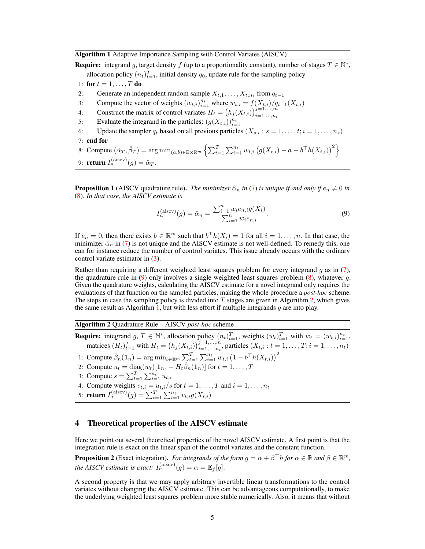<span id="page-4-1"></span>**Require:** integrand g, target density f (up to a proportionality constant), number of stages  $T \in \mathbb{N}^*$ , allocation policy  $(n_t)_{t=1}^T$ , initial density  $q_0$ , update rule for the sampling policy

- 1: for  $t = 1, \ldots, T$  do
- 2: Generate an independent random sample  $X_{t,1}, \ldots, X_{t,n_t}$  from  $q_{t-1}$
- 3: Compute the vector of weights  $(w_{t,i})_{i=1}^{n_t}$  where  $w_{t,i} = f(X_{t,i})/q_{t-1}(X_{t,i})$
- 4: Construct the matrix of control variates  $H_t = (h_j(X_{t,i}))_{i=1,\dots,n_t}^{j=1,\dots,m}$
- 5: Evaluate the integrand in the particles:  $(g(X_{t,i}))_{i=1}^{n_t}$
- 6: Update the sampler  $q_t$  based on all previous particles  $(X_{s,i} : s = 1, \ldots, t; i = 1, \ldots, n_s)$

7: end for

8: Compute  $(\hat{\alpha}_T, \hat{\beta}_T) = \arg \min_{(a, b) \in \mathbb{R} \times \mathbb{R}^m} \left\{ \sum_{t=1}^T \sum_{i=1}^{n_t} w_{t,i} \left( g(X_{t,i}) - a - b^\top h(X_{t,i}) \right)^2 \right\}$ 

```
9: return I_n^{\text{(aiscv)}}(g) = \hat{\alpha}_T.
```
<span id="page-4-5"></span>**Proposition 1** (AISCV quadrature rule). *The minimizer*  $\hat{\alpha}_n$  *in* [\(7\)](#page-3-2) *is unique if and only if*  $e_n \neq 0$  *in* [\(8\)](#page-3-3)*. In that case, the AISCV estimate is*

<span id="page-4-2"></span>
$$
I_n^{(\text{aiscv})}(g) = \hat{\alpha}_n = \frac{\sum_{i=1}^n w_i e_{n,i} g(X_i)}{\sum_{i=1}^n w_i e_{n,i}}.
$$
\n(9)

If  $e_n = 0$ , then there exists  $b \in \mathbb{R}^m$  such that  $b^\top h(X_i) = 1$  for all  $i = 1, \ldots, n$ . In that case, the minimizer  $\hat{\alpha}_n$  in [\(7\)](#page-3-2) is not unique and the AISCV estimate is not well-defined. To remedy this, one can for instance reduce the number of control variates. This issue already occurs with the ordinary control variate estimator in [\(3\)](#page-2-3).

Rather than requiring a different weighted least squares problem for every integrand  $q$  as in [\(7\)](#page-3-2), the quadrature rule in  $(9)$  only involves a single weighted least squares problem  $(8)$ , whatever q. Given the quadrature weights, calculating the AISCV estimate for a novel integrand only requires the evaluations of that function on the sampled particles, making the whole procedure a *post-hoc* scheme. The steps in case the sampling policy is divided into  $T$  stages are given in Algorithm [2,](#page-4-3) which gives the same result as Algorithm [1,](#page-4-1) but with less effort if multiple integrands  $g$  are into play.

<span id="page-4-3"></span>Algorithm 2 Quadrature Rule – AISCV *post-hoc* scheme

**Require:** integrand  $g, T \in \mathbb{N}^*$ , allocation policy  $(n_t)_{t=1}^T$ , weights  $(w_t)_{t=1}^T$  with  $w_t = (w_{t,i})_{i=1}^{n_t}$ , matrices  $(H_t)_{t=1}^T$  with  $H_t = (h_j(X_{t,i}))_{i=1,\dots,n_t}^{j=1,\dots,m}$ , particles  $(X_{t,i}: t = 1,\dots,T; i = 1,\dots,n_t)$ 

- 1: Compute  $\hat{\beta}_n(\mathbf{1}_n) = \arg \min_{b \in \mathbb{R}^m} \sum_{t=1}^T \sum_{i=1}^{n_t} w_{t,i} (1 b^{\top} h(X_{t,i}))^2$
- 2: Compute  $u_t = \text{diag}(w_t)[\mathbf{1}_{n_t} H_t\hat{\beta}_n(\mathbf{1}_n)]$  for  $t = 1, ..., T$
- 3: Compute  $s = \sum_{t=1}^{T} \sum_{i=1}^{n_t} u_{t,i}$
- 4: Compute weights  $v_{t,i} = u_{t,i}/s$  for  $t = 1, \ldots, T$  and  $i = 1, \ldots, n_t$
- 5: **return**  $I_T^{\text{(aiscv)}}$  $T(T^{(\text{aiscv})}(g) = \sum_{t=1}^{T} \sum_{i=1}^{n_t} v_{t,i} g(X_{t,i})$

# <span id="page-4-0"></span>4 Theoretical properties of the AISCV estimate

Here we point out several theoretical properties of the novel AISCV estimate. A first point is that the integration rule is exact on the linear span of the control variates and the constant function.

<span id="page-4-4"></span>**Proposition 2** (Exact integration). *For integrands of the form*  $g = \alpha + \beta^{\top} h$  *for*  $\alpha \in \mathbb{R}$  *and*  $\beta \in \mathbb{R}^m$ *, the AISCV estimate is exact:*  $I_n^{\text{(aiscv)}}(g) = \alpha = \mathbb{E}_f[g].$ 

A second property is that we may apply arbitrary invertible linear transformations to the control variates without changing the AISCV estimate. This can be advantageous computationally, to make the underlying weighted least squares problem more stable numerically. Also, it means that without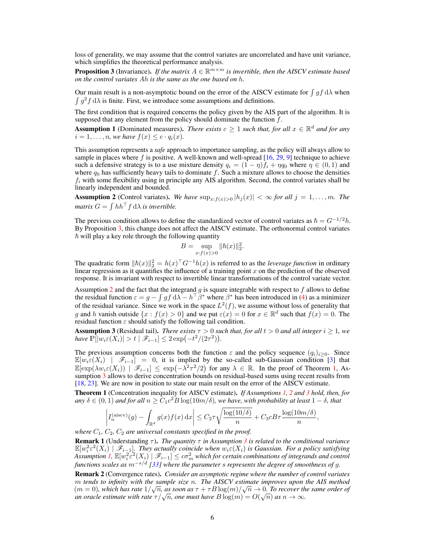loss of generality, we may assume that the control variates are uncorrelated and have unit variance, which simplifies the theoretical performance analysis.

<span id="page-5-0"></span>**Proposition 3** (Invariance). If the matrix  $A \in \mathbb{R}^{m \times m}$  is invertible, then the AISCV estimate based *on the control variates* Ah *is the same as the one based on* h*.*

Our main result is a non-asymptotic bound on the error of the AISCV estimate for  $\int gf \, d\lambda$  when  $\int g^2 f d\lambda$  is finite. First, we introduce some assumptions and definitions.

The first condition that is required concerns the policy given by the AIS part of the algorithm. It is supposed that any element from the policy should dominate the function  $f$ .

<span id="page-5-4"></span>**Assumption 1** (Dominated measures). *There exists*  $c \geq 1$  *such that, for all*  $x \in \mathbb{R}^d$  *and for any*  $i = 1, \ldots, n$ , we have  $f(x) \leq c \cdot q_i(x)$ .

This assumption represents a *safe* approach to importance sampling, as the policy will always allow to sample in places where f is positive. A well-known and well-spread  $[16, 29, 9]$  $[16, 29, 9]$  $[16, 29, 9]$  $[16, 29, 9]$  $[16, 29, 9]$  technique to achieve such a defensive strategy is to a use mixture density  $q_i = (1 - \eta)f_i + \eta q_0$  where  $\eta \in (0, 1)$  and where  $q_0$  has sufficiently heavy tails to dominate f. Such a mixture allows to choose the densities  $f_i$  with some flexibility using in principle any AIS algorithm. Second, the control variates shall be linearly independent and bounded.

<span id="page-5-1"></span>**Assumption 2** (Control variates). We have  $\sup_{x:f(x)>0} |h_j(x)| < \infty$  for all  $j = 1, ..., m$ . The *matrix*  $G = \int hh^{\top} f d\lambda$  *is invertible.* 

The previous condition allows to define the standardized vector of control variates as  $\hbar = G^{-1/2}h$ . By Proposition [3,](#page-5-0) this change does not affect the AISCV estimate. The orthonormal control variates  $\hbar$  will play a key role through the following quantity

$$
B = \sup_{x:f(x)>0} \|\hbar(x)\|_2^2.
$$

The quadratic form  $||h(x)||_2^2 = h(x)^\top G^{-1}h(x)$  is referred to as the *leverage function* in ordinary linear regression as it quantifies the influence of a training point  $x$  on the prediction of the observed response. It is invariant with respect to invertible linear transformations of the control variate vector.

Assumption [2](#page-5-1) and the fact that the integrand g is square integrable with respect to f allows to define the residual function  $\varepsilon = g - \int gf \, d\lambda - h^\top \beta^*$  where  $\beta^*$  has been introduced in [\(4\)](#page-2-5) as a minimizer of the residual variance. Since we work in the space  $L^2(f)$ , we assume without loss of generality that g and h vanish outside  $\{x : f(x) > 0\}$  and we put  $\varepsilon(x) = 0$  for  $x \in \mathbb{R}^d$  such that  $f(x) = 0$ . The residual function  $\varepsilon$  should satisfy the following tail condition.

<span id="page-5-3"></span>**Assumption 3** (Residual tail). *There exists*  $\tau > 0$  *such that, for all*  $t > 0$  *and all integer*  $i \ge 1$ *, we have*  $\mathbb{P}[|w_i \varepsilon(X_i)| > t | \mathscr{F}_{i-1}] \leq 2 \exp(-t^2/(2\tau^2)).$ 

The previous assumption concerns both the function  $\varepsilon$  and the policy sequence  $(q_i)_{i>0}$ . Since  $\mathbb{E}[w_i \in (X_i) \mid \mathcal{F}_{i-1}] = 0$ , it is implied by the so-called sub-Gaussian condition [\[3\]](#page-9-16) that  $\mathbb{E}[\exp(\lambda w_i \varepsilon(X_i)) | \mathcal{F}_{i-1}] \leq \exp(-\lambda^2 \tau^2/2)$  for any  $\lambda \in \mathbb{R}$ . In the proof of Theorem [1,](#page-5-2) Assumption [3](#page-5-3) allows to derive concentration bounds on residual-based sums using recent results from [\[18,](#page-9-14) [23\]](#page-10-8). We are now in position to state our main result on the error of the AISCV estimate.

<span id="page-5-2"></span>Theorem 1 (Concentration inequality for AISCV estimate). *If Assumptions [1,](#page-5-4) [2](#page-5-1) and [3](#page-5-3) hold, then, for*  $any \delta \in (0,1)$  and for all  $n \geq \tilde{C}_1 c^2 B \log(10m/\delta)$ , we have, with probability at least  $1-\delta$ , that

$$
\left| I_n^{(\text{aiscv})}(g) - \int_{\mathbb{R}^d} g(x) f(x) dx \right| \le C_2 \tau \sqrt{\frac{\log(10/\delta)}{n}} + C_3 c B \tau \frac{\log(10m/\delta)}{n},
$$

*where*  $C_1$ ,  $C_2$ ,  $C_2$  *are universal constants specified in the proof.* 

**Remark 1** (Understanding  $\tau$ ). *The quantity*  $\tau$  *in Assumption [3](#page-5-3) is related to the conditional variance*  $\mathbb{E}[w_i^2 \varepsilon^2(X_i) \mid \mathscr{F}_{i-1}]$ . They actually coincide when  $w_i \varepsilon(X_i)$  is Gaussian. For a policy satisfying Assumption  $I$ ,  $\mathbb{E}[w_i^2 \varepsilon^2(X_i) \mid \mathscr{F}_{i-1}] \leq c \sigma_m^2$  which for certain combinations of integrands and control *functions scales as* m<sup>−</sup>s/d *[\[33\]](#page-10-9) where the parameter* s *represents the degree of smoothness of* g*.*

Remark 2 (Convergence rates). *Consider an asymptotic regime where the number of control variates* m *tends to infinity with the sample size* n*. The AISCV estimate improves upon the AIS method* √ √  $(m = 0)$ , which has rate  $1/\sqrt{n}$ , as soon as  $\tau + \tau B \log(m)/\sqrt{n} \to 0$ . To recover the same order of  $a(m = 0)$ , which has rate  $1/\sqrt{n}$ , as soon as  $\tau + \tau B \log(m)/\sqrt{n} \to 0$ . To recover the an oracle estimate with rate  $\tau/\sqrt{n}$ , one must have  $B \log(m) = O(\sqrt{n})$  as  $n \to \infty$ .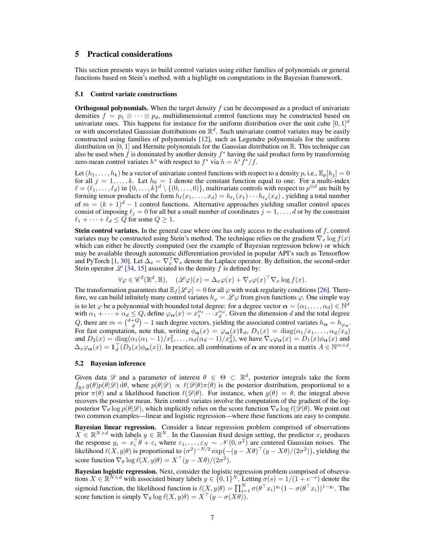# <span id="page-6-0"></span>5 Practical considerations

This section presents ways to build control variates using either families of polynomials or general functions based on Stein's method, with a highlight on computations in the Bayesian framework.

#### <span id="page-6-1"></span>5.1 Control variate constructions

**Orthogonal polynomials.** When the target density  $f$  can be decomposed as a product of univariate densities  $f = p_1 \otimes \cdots \otimes p_d$ , multidimensional control functions may be constructed based on univariate ones. This happens for instance for the uniform distribution over the unit cube  $[0, 1]^d$ or with uncorrelated Gaussian distributions on  $\mathbb{R}^d$ . Such univariate control variates may be easily constructed using families of polynomials [\[12\]](#page-9-17), such as Legendre polynomials for the uniform distribution on [0, 1] and Hermite polynomials for the Gaussian distribution on  $\mathbb{R}$ . This technique can also be used when  $\hat{f}$  is dominated by another density  $f^*$  having the said product form by transforming zero-mean control variates  $h^*$  with respect to  $f^*$  via  $h = h^* \overline{f^*}/f$ .

Let  $(h_1, \ldots, h_k)$  be a vector of univariate control functions with respect to a density p, i.e.,  $\mathbb{E}_p[h_i] = 0$ for all  $j = 1, ..., k$ . Let  $h_0 = 1$  denote the constant function equal to one. For a multi-index  $\ell = (\ell_1, \ldots, \ell_d)$  in  $\{0, \ldots, k\}^d \setminus \{(0, \ldots, 0)\}\)$ , multivariate controls with respect to  $p^{\otimes d}$  are built by forming tensor products of the form  $h_{\ell}(x_1, \ldots, x_d) = h_{\ell_1}(x_1) \cdots h_{\ell_d}(x_d)$  , yielding a total number of  $m = (k + 1)^d - 1$  control functions. Alternative approaches yielding smaller control spaces consist of imposing  $\ell_j = 0$  for all but a small number of coordinates  $j = 1, \dots, d$  or by the constraint  $\ell_1 + \cdots + \ell_d \leq Q$  for some  $Q \geq 1$ .

**Stein control variates.** In the general case where one has only access to the evaluations of  $f$ , control variates may be constructed using Stein's method. The technique relies on the gradient  $\nabla_x \log f(x)$ which can either be directly computed (see the example of Bayesian regression below) or which may be available through automatic differentiation provided in popular API's such as Tensorflow and PyTorch [\[1,](#page-9-18) [30\]](#page-10-14). Let  $\Delta_x = \nabla_x^{\top} \nabla_x$  denote the Laplace operator. By definition, the second-order Stein operator  $\mathscr{L}$  [\[34,](#page-10-15) [15\]](#page-9-19) associated to the density f is defined by:

$$
\forall \varphi \in \mathscr{C}^2(\mathbb{R}^d, \mathbb{R}), \quad (\mathscr{L}\varphi)(x) = \Delta_x \varphi(x) + \nabla_x \varphi(x)^\top \nabla_x \log f(x).
$$

The transformation guarantees that  $\mathbb{E}_f[\mathscr{L} \varphi] = 0$  for all  $\varphi$  with weak regularity conditions [\[26\]](#page-10-6). Therefore, we can build infinitely many control variates  $h_{\varphi} = \mathscr{L} \varphi$  from given functions  $\varphi$ . One simple way is to let  $\varphi$  be a polynomial with bounded total degree: for a degree vector  $\bm{\alpha}=(\alpha_1,\ldots,\alpha_d)\in\mathbb{N}^d$ with  $\alpha_1 + \cdots + \alpha_d \leq Q$ , define  $\varphi_{\alpha}(x) = x_1^{\alpha_1} \cdots x_d^{\alpha_d}$ . Given the dimension d and the total degree Q, there are  $m = \binom{d+Q}{d} - 1$  such degree vectors, yielding the associated control variates  $h_{\alpha} = h_{\varphi_{\alpha}}$ . For fast computation, note that, writing  $\phi_{\alpha}(x) = \varphi_{\alpha}(x) 1\!\!1_{d}$ ,  $D_1(x) = \text{diag}(\alpha_1/x_1, \ldots, \alpha_d/x_d)$ and  $D_2(x) = \text{diag}(\alpha_1(\alpha_1 - 1)/x_1^2, \dots, \alpha_d(\alpha_d - 1)/x_d^2)$ , we have  $\nabla_x \varphi_\alpha(x) = D_1(x) \phi_\alpha(x)$  and  $\Delta_x \varphi_{\alpha}(x) = \mathbb{1}_d^{\top}(D_2(x)\phi_{\alpha}(x))$ . In practice, all combinations of  $\alpha$  are stored in a matrix  $A \in \mathbb{N}^{m \times d}$ .

#### <span id="page-6-2"></span>5.2 Bayesian inference

Given data  $\mathscr D$  and a parameter of interest  $\theta \in \Theta \subset \mathbb R^d$ , posterior integrals take the form  $\int_{\mathbb{R}^d} g(\theta)p(\theta|\mathscr{D}) d\theta$ , where  $p(\theta|\mathscr{D}) \propto \ell(\mathscr{D}|\theta)\pi(\theta)$  is the posterior distribution, proportional to a prior  $\pi(\theta)$  and a likelihood function  $\ell(\mathscr{D}|\theta)$ . For instance, when  $q(\theta) = \theta$ , the integral above recovers the posterior mean. Stein control variates involve the computation of the gradient of the logposterior  $\nabla_{\theta} \log p(\theta|\mathscr{D})$ , which implicitly relies on the score function  $\nabla_{\theta} \log \ell(\mathscr{D}|\theta)$ . We point out two common examples—linear and logistic regression—where these functions are easy to compute.

Bayesian linear regression. Consider a linear regression problem comprised of observations  $X \in \mathbb{R}^{N \times d}$  with labels  $y \in \mathbb{R}^N$ . In the Gaussian fixed design setting, the predictor  $x_i$  produces the response  $y_i = x_i^{\top} \theta + \varepsilon_i$  where  $\varepsilon_1, \dots, \varepsilon_N \sim \mathcal{N}(0, \sigma^2)$  are centered Gaussian noises. The likelihood  $\ell(X, y | \theta)$  is proportional to  $(\sigma^2)^{-N/2} \exp(-(y - X\theta)^{\top}(y - X\theta)/(2\sigma^2))$ , yielding the score function  $\nabla_{\theta} \log \ell(X, y | \theta) = X^{\top}(y - X\theta)/(2\sigma^2)$ .

Bayesian logistic regression. Next, consider the logistic regression problem comprised of observations  $X \in \mathbb{R}^{N \times d}$  with associated binary labels  $y \in \{0,1\}^N$ . Letting  $\sigma(s) = 1/(1 + e^{-s})$  denote the sigmoid function, the likelihood function is  $\ell(\underline{X}, y | \theta) = \prod_{i=1}^N \sigma(\theta^\top x_i)^{y_i} (1 - \sigma(\theta^\top x_i))^{1-y_i}$ . The score function is simply  $\nabla_{\theta} \log \ell(X, y | \theta) = X^{\top}(y - \sigma(X\theta)).$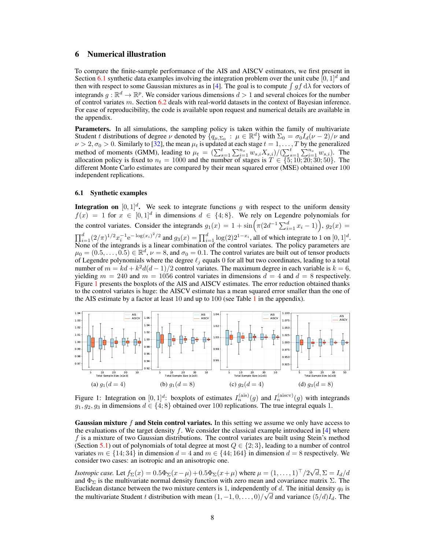# <span id="page-7-0"></span>6 Numerical illustration

To compare the finite-sample performance of the AIS and AISCV estimators, we first present in Section [6.1](#page-7-1) synthetic data examples involving the integration problem over the unit cube  $[0, 1]^d$  and then with respect to some Gaussian mixtures as in [\[4\]](#page-9-2). The goal is to compute  $\int gf \, d\lambda$  for vectors of integrands  $g : \mathbb{R}^d \to \mathbb{R}^p$ . We consider various dimensions  $d > 1$  and several choices for the number of control variates m. Section [6.2](#page-8-0) deals with real-world datasets in the context of Bayesian inference. For ease of reproducibility, the code is available upon request and numerical details are available in the appendix.

Parameters. In all simulations, the sampling policy is taken within the family of multivariate Student t distributions of degree  $\nu$  denoted by  $\{q_{\mu,\Sigma_0} : \mu \in \mathbb{R}^d\}$  with  $\Sigma_0 = \sigma_0 I_d(\nu - 2)/\nu$  and  $\nu > 2, \sigma_0 > 0$ . Similarly to [\[32\]](#page-10-2), the mean  $\mu_t$  is updated at each stage  $t = 1, \ldots, T$  by the generalized method of moments (GMM), leading to  $\mu_t = (\sum_{s=1}^t \sum_{i=1}^{n_s} w_{s,i} X_{s,i})/(\sum_{s=1}^t \sum_{i=1}^{n_s} w_{s,i})$ . The allocation policy is fixed to  $n_t = 1000$  and the number of stages is  $T \in \{5, 10, 20, 30, 50\}$ . The different Monte Carlo estimates are compared by their mean squared error (MSE) obtained over 100 independent replications.

## <span id="page-7-1"></span>6.1 Synthetic examples

**Integration on**  $[0, 1]^d$ . We seek to integrate functions g with respect to the uniform density  $f(x) = 1$  for  $x \in [0,1]^d$  in dimensions  $d \in \{4, 8\}$ . We rely on Legendre polynomials for the control variates. Consider the integrands  $g_1(x) = 1 + \sin\left(\pi(2d^{-1}\sum_{i=1}^d x_i - 1)\right), g_2(x) =$  $\prod_{i=1}^d (2/\pi)^{1/2} x_i^{-1} e^{-\log(x_i)^2/2}$  and  $g_3(x) = \prod_{i=1}^d \log(2) 2^{1-x_i}$ , all of which integrate to 1 on  $[0, 1]^d$ . None of the integrands is a linear combination of the control variates. The policy parameters are  $\mu_0 = (0.5, \dots, 0.5) \in \mathbb{R}^d$ ,  $\nu = 8$ , and  $\sigma_0 = 0.1$ . The control variates are built out of tensor products of Legendre polynomials where the degree  $\ell_i$  equals 0 for all but two coordinates, leading to a total number of  $m = kd + k^2d(d-1)/2$  control variates. The maximum degree in each variable is  $k = 6$ , yielding  $m = 240$  and  $m = 1056$  control variates in dimensions  $d = 4$  and  $d = 8$  respectively. Figure [1](#page-7-2) presents the boxplots of the AIS and AISCV estimates. The error reduction obtained thanks to the control variates is huge: the AISCV estimate has a mean squared error smaller than the one of the AIS estimate by a factor at least  $10$  $10$  and up to  $100$  (see Table 1 in the appendix).

<span id="page-7-2"></span>

Figure 1: Integration on  $[0,1]^d$ : boxplots of estimates  $I_n^{\text{(ais)}}(g)$  and  $I_n^{\text{(aiscv)}}(g)$  with integrands  $g_1, g_2, g_3$  in dimensions  $d \in \{4, 8\}$  obtained over 100 replications. The true integral equals 1.

**Gaussian mixture f and Stein control variates.** In this setting we assume we only have access to the evaluations of the target density  $f$ . We consider the classical example introduced in [\[4\]](#page-9-2) where  $f$  is a mixture of two Gaussian distributions. The control variates are built using Stein's method (Section [5.1\)](#page-6-1) out of polynomials of total degree at most  $Q \in \{2,3\}$ , leading to a number of control variates  $m \in \{14, 34\}$  in dimension  $d = 4$  and  $m \in \{44, 164\}$  in dimension  $d = 8$  respectively. We consider two cases: an isotropic and an anisotropic one.

*Isotropic case.* Let  $f_{\Sigma}(x) = 0.5\Phi_{\Sigma}(x-\mu) + 0.5\Phi_{\Sigma}(x+\mu)$  where  $\mu = (1, \ldots, 1)^{\top}/2\sqrt{3}$  $d, \Sigma = I_d/d$ and  $\Phi_{\Sigma}$  is the multivariate normal density function with zero mean and covariance matrix  $\Sigma$ . The Euclidean distance between the two mixture centers is 1, independently of d. The initial density  $q_0$  is the multivariate Student t distribution with mean  $(1, -1, 0, \ldots, 0)/\sqrt{d}$  and variance  $(5/d)I_d$ . The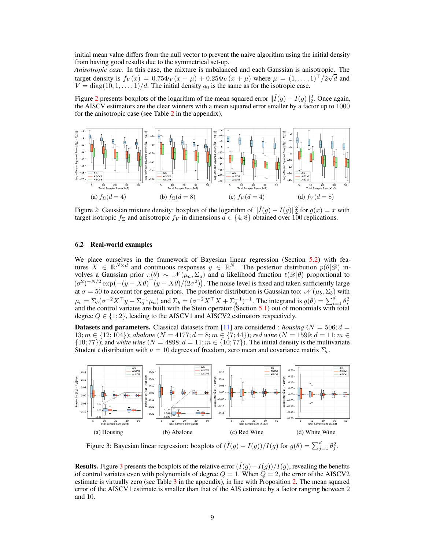initial mean value differs from the null vector to prevent the naive algorithm using the initial density from having good results due to the symmetrical set-up.

*Anisotropic case.* In this case, the mixture is unbalanced and each Gaussian is anisotropic. The target density is  $f_V(x) = 0.75\Phi_V(x-\mu) + 0.25\Phi_V(x+\mu)$  where  $\mu = (1,\ldots,1)^{\top}/2\sqrt{d}$  and  $V = \text{diag}(10, 1, \ldots, 1)/d$ . The initial density  $q_0$  is the same as for the isotropic case.

Figure [2](#page-8-1) presents boxplots of the logarithm of the mean squared error  $\|\hat{I}(g) - I(g)\|_2^2$ . Once again, the AISCV estimators are the clear winners with a mean squared error smaller by a factor up to 1000 for the anisotropic case (see Table  $2$  in the appendix).

<span id="page-8-1"></span>

Figure 2: Gaussian mixture density: boxplots of the logarithm of  $\|\hat{I}(g) - I(g)\|_2^2$  for  $g(x) = x$  with target isotropic  $f_{\Sigma}$  and anisotropic  $f_{V}$  in dimensions  $d \in \{4, 8\}$  obtained over 100 replications.

## <span id="page-8-0"></span>6.2 Real-world examples

We place ourselves in the framework of Bayesian linear regression (Section [5.2\)](#page-6-2) with features  $X \in \mathbb{R}^{N \times d}$  and continuous responses  $y \in \mathbb{R}^N$ . The posterior distribution  $p(\theta|\mathcal{D})$  involves a Gaussian prior  $\pi(\theta) \sim \mathcal{N}(\mu_a, \Sigma_a)$  and a likelihood function  $\ell(\mathscr{D}|\theta)$  proportional to  $(\sigma^2)^{-N/2} \exp(-(y - X\theta)^{\top}(y - X\theta)/(2\sigma^2))$ . The noise level is fixed and taken sufficiently large at  $\sigma = 50$  to account for general priors. The posterior distribution is Gaussian too:  $\mathcal{N}(\mu_b, \Sigma_b)$  with  $\mu_b = \sum_b (\sigma^{-2} X^\top y + \sum_a^{-1} \mu_a)$  and  $\Sigma_b = (\sigma^{-2} X^\top X + \Sigma_a^{-1})^{-1}$ . The integrand is  $g(\theta) = \sum_{i=1}^d \theta_i^2$  and the control variates are built with the Stein operator (Section [5.1\)](#page-6-1) out of monomials with total degree  $Q \in \{1, 2\}$ , leading to the AISCV1 and AISCV2 estimators respectively.

**Datasets and parameters.** Classical datasets from [\[11\]](#page-9-20) are considered : *housing*  $(N = 506; d = 100)$ 13;  $m \in \{12; 104\}$ ); *abalone* ( $N = 4177$ ;  $d = 8$ ;  $m \in \{7; 44\}$ ); *red wine* ( $N = 1599$ ;  $d = 11$ ;  $m \in$  $\{10; 77\}$ ); and *white wine* ( $N = 4898; d = 11; m \in \{10; 77\}$ ). The initial density is the multivariate Student t distribution with  $\nu = 10$  degrees of freedom, zero mean and covariance matrix  $\Sigma_b$ .

<span id="page-8-2"></span>

Figure 3: Bayesian linear regression: boxplots of  $(\hat{I}(g) - I(g)) / I(g)$  for  $g(\theta) = \sum_{j=1}^{d} \theta_j^2$ .

**Results.** Figure [3](#page-8-2) presents the boxplots of the relative error  $(\hat{I}(g) - I(g))/I(g)$ , revealing the benefits of control variates even with polynomials of degree  $Q = 1$ . When  $Q = 2$ , the error of the AISCV2 estimate is virtually zero (see Table  $3$  in the appendix), in line with Proposition [2.](#page-4-4) The mean squared error of the AISCV1 estimate is smaller than that of the AIS estimate by a factor ranging between 2 and 10.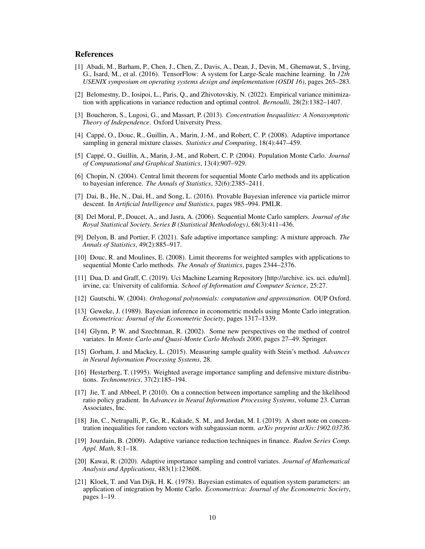# References

- <span id="page-9-18"></span>[1] Abadi, M., Barham, P., Chen, J., Chen, Z., Davis, A., Dean, J., Devin, M., Ghemawat, S., Irving, G., Isard, M., et al. (2016). TensorFlow: A system for Large-Scale machine learning. In *12th USENIX symposium on operating systems design and implementation (OSDI 16)*, pages 265–283.
- <span id="page-9-10"></span>[2] Belomestny, D., Iosipoi, L., Paris, Q., and Zhivotovskiy, N. (2022). Empirical variance minimization with applications in variance reduction and optimal control. *Bernoulli*, 28(2):1382–1407.
- <span id="page-9-16"></span>[3] Boucheron, S., Lugosi, G., and Massart, P. (2013). *Concentration Inequalities: A Nonasymptotic Theory of Independence*. Oxford University Press.
- <span id="page-9-2"></span>[4] Cappé, O., Douc, R., Guillin, A., Marin, J.-M., and Robert, C. P. (2008). Adaptive importance sampling in general mixture classes. *Statistics and Computing*, 18(4):447–459.
- <span id="page-9-3"></span>[5] Cappé, O., Guillin, A., Marin, J.-M., and Robert, C. P. (2004). Population Monte Carlo. *Journal of Computational and Graphical Statistics*, 13(4):907–929.
- <span id="page-9-4"></span>[6] Chopin, N. (2004). Central limit theorem for sequential Monte Carlo methods and its application to bayesian inference. *The Annals of Statistics*, 32(6):2385–2411.
- <span id="page-9-6"></span>[7] Dai, B., He, N., Dai, H., and Song, L. (2016). Provable Bayesian inference via particle mirror descent. In *Artificial Intelligence and Statistics*, pages 985–994. PMLR.
- <span id="page-9-8"></span>[8] Del Moral, P., Doucet, A., and Jasra, A. (2006). Sequential Monte Carlo samplers. *Journal of the Royal Statistical Society. Series B (Statistical Methodology)*, 68(3):411–436.
- <span id="page-9-7"></span>[9] Delyon, B. and Portier, F. (2021). Safe adaptive importance sampling: A mixture approach. *The Annals of Statistics*, 49(2):885–917.
- <span id="page-9-5"></span>[10] Douc, R. and Moulines, E. (2008). Limit theorems for weighted samples with applications to sequential Monte Carlo methods. *The Annals of Statistics*, pages 2344–2376.
- <span id="page-9-20"></span>[11] Dua, D. and Graff, C. (2019). Uci Machine Learning Repository [http://archive. ics. uci. edu/ml]. irvine, ca: University of california. *School of Information and Computer Science*, 25:27.
- <span id="page-9-17"></span>[12] Gautschi, W. (2004). *Orthogonal polynomials: computation and approximation*. OUP Oxford.
- <span id="page-9-0"></span>[13] Geweke, J. (1989). Bayesian inference in econometric models using Monte Carlo integration. *Econometrica: Journal of the Econometric Society*, pages 1317–1339.
- <span id="page-9-9"></span>[14] Glynn, P. W. and Szechtman, R. (2002). Some new perspectives on the method of control variates. In *Monte Carlo and Quasi-Monte Carlo Methods 2000*, pages 27–49. Springer.
- <span id="page-9-19"></span>[15] Gorham, J. and Mackey, L. (2015). Measuring sample quality with Stein's method. *Advances in Neural Information Processing Systems*, 28.
- <span id="page-9-15"></span>[16] Hesterberg, T. (1995). Weighted average importance sampling and defensive mixture distributions. *Technometrics*, 37(2):185–194.
- <span id="page-9-11"></span>[17] Jie, T. and Abbeel, P. (2010). On a connection between importance sampling and the likelihood ratio policy gradient. In *Advances in Neural Information Processing Systems*, volume 23. Curran Associates, Inc.
- <span id="page-9-14"></span>[18] Jin, C., Netrapalli, P., Ge, R., Kakade, S. M., and Jordan, M. I. (2019). A short note on concentration inequalities for random vectors with subgaussian norm. *arXiv preprint arXiv:1902.03736*.
- <span id="page-9-12"></span>[19] Jourdain, B. (2009). Adaptive variance reduction techniques in finance. *Radon Series Comp. Appl. Math*, 8:1–18.
- <span id="page-9-13"></span>[20] Kawai, R. (2020). Adaptive importance sampling and control variates. *Journal of Mathematical Analysis and Applications*, 483(1):123608.
- <span id="page-9-1"></span>[21] Kloek, T. and Van Dijk, H. K. (1978). Bayesian estimates of equation system parameters: an application of integration by Monte Carlo. *Econometrica: Journal of the Econometric Society*, pages 1–19.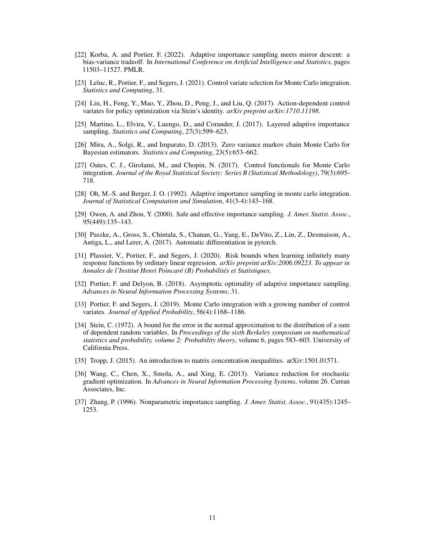- <span id="page-10-3"></span>[22] Korba, A. and Portier, F. (2022). Adaptive importance sampling meets mirror descent: a bias-variance tradeoff. In *International Conference on Artificial Intelligence and Statistics*, pages 11503–11527. PMLR.
- <span id="page-10-8"></span>[23] Leluc, R., Portier, F., and Segers, J. (2021). Control variate selection for Monte Carlo integration. *Statistics and Computing*, 31.
- <span id="page-10-11"></span>[24] Liu, H., Feng, Y., Mao, Y., Zhou, D., Peng, J., and Liu, Q. (2017). Action-dependent control variates for policy optimization via Stein's identity. *arXiv preprint arXiv:1710.11198*.
- <span id="page-10-1"></span>[25] Martino, L., Elvira, V., Luengo, D., and Corander, J. (2017). Layered adaptive importance sampling. *Statistics and Computing*, 27(3):599–623.
- <span id="page-10-6"></span>[26] Mira, A., Solgi, R., and Imparato, D. (2013). Zero variance markov chain Monte Carlo for Bayesian estimators. *Statistics and Computing*, 23(5):653–662.
- <span id="page-10-5"></span>[27] Oates, C. J., Girolami, M., and Chopin, N. (2017). Control functionals for Monte Carlo integration. *Journal of the Royal Statistical Society: Series B (Statistical Methodology)*, 79(3):695– 718.
- <span id="page-10-0"></span>[28] Oh, M.-S. and Berger, J. O. (1992). Adaptive importance sampling in monte carlo integration. *Journal of Statistical Computation and Simulation*, 41(3-4):143–168.
- <span id="page-10-7"></span>[29] Owen, A. and Zhou, Y. (2000). Safe and effective importance sampling. *J. Amer. Statist. Assoc.*, 95(449):135–143.
- <span id="page-10-14"></span>[30] Paszke, A., Gross, S., Chintala, S., Chanan, G., Yang, E., DeVito, Z., Lin, Z., Desmaison, A., Antiga, L., and Lerer, A. (2017). Automatic differentiation in pytorch.
- <span id="page-10-10"></span>[31] Plassier, V., Portier, F., and Segers, J. (2020). Risk bounds when learning infinitely many response functions by ordinary linear regression. *arXiv preprint arXiv:2006.09223. To appear in Annales de l'Institut Henri Poincaré (B) Probabilités et Statistiques*.
- <span id="page-10-2"></span>[32] Portier, F. and Delyon, B. (2018). Asymptotic optimality of adaptive importance sampling. *Advances in Neural Information Processing Systems*, 31.
- <span id="page-10-9"></span>[33] Portier, F. and Segers, J. (2019). Monte Carlo integration with a growing number of control variates. *Journal of Applied Probability*, 56(4):1168–1186.
- <span id="page-10-15"></span>[34] Stein, C. (1972). A bound for the error in the normal approximation to the distribution of a sum of dependent random variables. In *Proceedings of the sixth Berkeley symposium on mathematical statistics and probability, volume 2: Probability theory*, volume 6, pages 583–603. University of California Press.
- <span id="page-10-13"></span>[35] Tropp, J. (2015). An introduction to matrix concentration inequalities. arXiv:1501.01571.
- <span id="page-10-12"></span>[36] Wang, C., Chen, X., Smola, A., and Xing, E. (2013). Variance reduction for stochastic gradient optimization. In *Advances in Neural Information Processing Systems*, volume 26. Curran Associates, Inc.
- <span id="page-10-4"></span>[37] Zhang, P. (1996). Nonparametric importance sampling. *J. Amer. Statist. Assoc.*, 91(435):1245– 1253.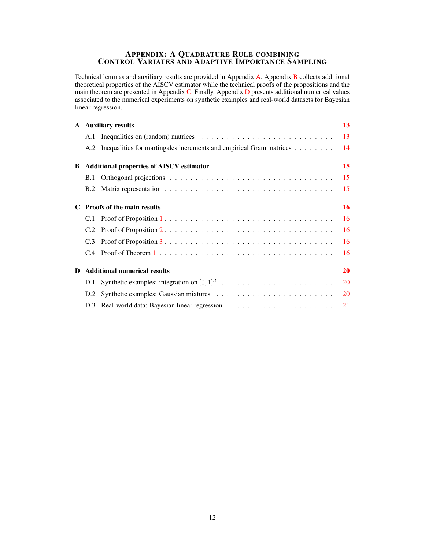# APPENDIX: A QUADRATURE RULE COMBINING CONTROL VARIATES AND ADAPTIVE IMPORTANCE SAMPLING

Technical lemmas and auxiliary results are provided in Appendix [A.](#page-12-0) Appendix [B](#page-14-0) collects additional theoretical properties of the AISCV estimator while the technical proofs of the propositions and the main theorem are presented in Appendix [C.](#page-15-0) Finally, Appendix [D](#page-19-0) presents additional numerical values associated to the numerical experiments on synthetic examples and real-world datasets for Bayesian linear regression.

|   |     | A Auxiliary results                                                     | 13        |
|---|-----|-------------------------------------------------------------------------|-----------|
|   |     |                                                                         | 13        |
|   |     | A.2 Inequalities for martingales increments and empirical Gram matrices | 14        |
| B |     | <b>Additional properties of AISCV estimator</b>                         | 15        |
|   | B.1 |                                                                         | 15        |
|   |     |                                                                         | 15        |
|   |     | C Proofs of the main results                                            | 16        |
|   |     |                                                                         | 16        |
|   |     |                                                                         | 16        |
|   |     |                                                                         | 16        |
|   |     |                                                                         | 16        |
| D |     | <b>Additional numerical results</b>                                     | 20        |
|   |     |                                                                         | <b>20</b> |
|   |     |                                                                         | <b>20</b> |
|   |     |                                                                         | 21        |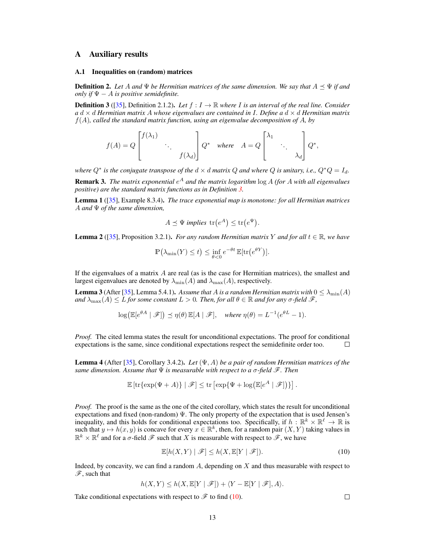## <span id="page-12-0"></span>A Auxiliary results

#### <span id="page-12-1"></span>A.1 Inequalities on (random) matrices

**Definition 2.** Let A and  $\Psi$  be Hermitian matrices of the same dimension. We say that  $A \preceq \Psi$  if and *only if*  $\Psi - A$  *is positive semidefinite.* 

<span id="page-12-2"></span>**Definition 3** ([\[35\]](#page-10-13), Definition 2.1.2). Let  $f: I \to \mathbb{R}$  where I is an interval of the real line. Consider *a* d × d *Hermitian matrix* A *whose eigenvalues are contained in* I*. Define a* d × d *Hermitian matrix* f(A)*, called the standard matrix function, using an eigenvalue decomposition of* A*, by*

$$
f(A) = Q \begin{bmatrix} f(\lambda_1) & & \\ & \ddots & \\ & & f(\lambda_d) \end{bmatrix} Q^* \quad \text{where} \quad A = Q \begin{bmatrix} \lambda_1 & & \\ & \ddots & \\ & & \lambda_d \end{bmatrix} Q^*,
$$

*where*  $Q^*$  *is the conjugate transpose of the*  $d \times d$  *matrix*  $Q$  *and where*  $Q$  *is unitary, i.e.,*  $Q^*Q = I_d$ *.* Remark 3. *The matrix exponential* e <sup>A</sup> *and the matrix logarithm* log A *(for* A *with all eigenvalues*

<span id="page-12-6"></span>*positive) are the standard matrix functions as in Definition [3.](#page-12-2)* Lemma 1 ([\[35\]](#page-10-13), Example 8.3.4). *The trace exponential map is monotone: for all Hermitian matrices* A *and* Ψ *of the same dimension,*

$$
A \preceq \Psi \text{ implies } \text{tr}(e^A) \le \text{tr}(e^{\Psi}).
$$

<span id="page-12-7"></span>**Lemma 2** ([\[35\]](#page-10-13), Proposition 3.2.1). *For any random Hermitian matrix* Y *and for all*  $t \in \mathbb{R}$ *, we have* 

$$
\mathbb{P}\left(\lambda_{\min}(Y) \leq t\right) \leq \inf_{\theta < 0} e^{-\theta t} \mathbb{E}[\text{tr}\left(e^{\theta Y}\right)].
$$

If the eigenvalues of a matrix  $A$  are real (as is the case for Hermitian matrices), the smallest and largest eigenvalues are denoted by  $\lambda_{\min}(A)$  and  $\lambda_{\max}(A)$ , respectively.

<span id="page-12-5"></span>**Lemma 3** (After [\[35\]](#page-10-13), Lemma 5.4.1). Assume that A is a random Hermitian matrix with  $0 \le \lambda_{\min}(A)$ *and*  $\lambda_{\max}(A) \leq L$  *for some constant*  $L > 0$ *. Then, for all*  $\theta \in \mathbb{R}$  *and for any*  $\sigma$ -*field*  $\mathcal{F}$ *,* 

$$
\log(\mathbb{E}[e^{\theta A} | \mathcal{F}]) \preceq \eta(\theta) \mathbb{E}[A | \mathcal{F}], \quad \text{where } \eta(\theta) = L^{-1}(e^{\theta L} - 1).
$$

*Proof.* The cited lemma states the result for unconditional expectations. The proof for conditional expectations is the same, since conditional expectations respect the semidefinite order too.  $\Box$ 

<span id="page-12-4"></span>Lemma 4 (After [\[35\]](#page-10-13), Corollary 3.4.2). *Let* (Ψ, A) *be a pair of random Hermitian matrices of the same dimension. Assume that* Ψ *is measurable with respect to a* σ*-field* F*. Then*

$$
\mathbb{E}\left[\mathrm{tr}\{\exp(\Psi+A)\}\mid \mathscr{F}\right] \leq \mathrm{tr}\left[\exp\{\Psi+\log(\mathbb{E}[e^A\mid \mathscr{F}])\}\right].
$$

*Proof.* The proof is the same as the one of the cited corollary, which states the result for unconditional expectations and fixed (non-random)  $\Psi$ . The only property of the expectation that is used Jensen's inequality, and this holds for conditional expectations too. Specifically, if  $h : \mathbb{R}^k \times \mathbb{R}^\ell \to \mathbb{R}$  is such that  $y \mapsto h(x, y)$  is concave for every  $x \in \mathbb{R}^k$ , then, for a random pair  $(X, Y)$  taking values in  $\mathbb{R}^k \times \mathbb{R}^{\ell}$  and for a  $\sigma$ -field  $\mathscr{F}$  such that X is measurable with respect to  $\mathscr{F}$ , we have

$$
\mathbb{E}[h(X,Y) | \mathcal{F}] \le h(X, \mathbb{E}[Y | \mathcal{F}]). \tag{10}
$$

Indeed, by concavity, we can find a random  $A$ , depending on  $X$  and thus measurable with respect to  $\mathscr{F}$ , such that

$$
h(X,Y) \le h(X,\mathbb{E}[Y \mid \mathscr{F}]) + \langle Y - \mathbb{E}[Y \mid \mathscr{F}], A \rangle.
$$

13

Take conditional expectations with respect to  $\mathscr F$  to find [\(10\)](#page-12-3).

<span id="page-12-3"></span> $\Box$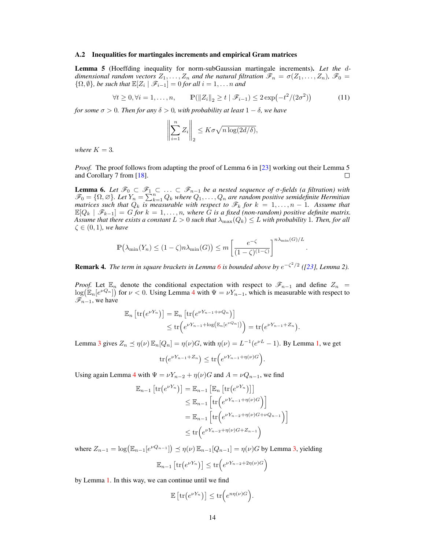#### <span id="page-13-0"></span>A.2 Inequalities for martingales increments and empirical Gram matrices

<span id="page-13-2"></span>Lemma 5 (Hoeffding inequality for norm-subGaussian martingale increments). *Let the* d*dimensional random vectors*  $Z_1, \ldots, Z_n$  *and the natural filtration*  $\mathscr{F}_n = \sigma(Z_1, \ldots, Z_n)$ ,  $\mathscr{F}_0 =$  $\{\Omega, \emptyset\}$ , be such that  $\mathbb{E}[Z_i \mid \mathscr{F}_{i-1}] = 0$  for all  $i = 1, \ldots n$  and

$$
\forall t \ge 0, \forall i = 1, \dots, n, \qquad \mathbb{P}(\|Z_i\|_2 \ge t \mid \mathcal{F}_{i-1}) \le 2 \exp\left(-t^2/(2\sigma^2)\right) \tag{11}
$$

*for some*  $\sigma > 0$ *. Then for any*  $\delta > 0$ *, with probability at least*  $1 - \delta$ *, we have* 

<span id="page-13-3"></span>
$$
\left\| \sum_{i=1}^n Z_i \right\|_2 \le K\sigma \sqrt{n \log(2d/\delta)},
$$

*where*  $K = 3$ *.* 

*Proof.* The proof follows from adapting the proof of Lemma 6 in [\[23\]](#page-10-8) working out their Lemma 5 and Corollary 7 from [\[18\]](#page-9-14).  $\Box$ 

<span id="page-13-1"></span>**Lemma 6.** Let  $\mathscr{F}_0 \subset \mathscr{F}_1 \subset \ldots \subset \mathscr{F}_{n-1}$  be a nested sequence of  $\sigma$ -fields (a filtration) with  $\mathscr{F}_0 = \{ \Omega, \varnothing \}$ . Let  $Y_n = \sum_{k=1}^n Q_k$  where  $Q_1, \ldots, Q_n$  are random positive semidefinite Hermitian *matrices such that*  $Q_k$  *is measurable with respect to*  $\mathscr{F}_k$  *for*  $k = 1, ..., n - 1$ *. Assume that*  $\mathbb{E}[Q_k \mid \mathscr{F}_{k-1}] = G$  for  $k = 1, \ldots, n$ , where G is a fixed (non-random) positive definite matrix. *Assume that there exists a constant*  $L > 0$  *such that*  $\lambda_{\max}(Q_k) \leq L$  with probability 1. Then, for all  $\zeta \in (0,1)$ *, we have* 

$$
\mathbb{P}\left(\lambda_{\min}(Y_n) \le (1-\zeta)n\lambda_{\min}(G)\right) \le m \left[\frac{e^{-\zeta}}{(1-\zeta)^{(1-\zeta)}}\right]^{n\lambda_{\min}(G)/L}
$$

.

<span id="page-13-4"></span>**Remark 4.** The term in square brackets in Lemma [6](#page-13-1) is bounded above by  $e^{-\zeta^2/2}$  ([\[23\]](#page-10-8), Lemma 2).

*Proof.* Let  $\mathbb{E}_n$  denote the conditional expectation with respect to  $\mathscr{F}_{n-1}$  and define  $Z_n$  =  $\log(\mathbb{E}_n[e^{\nu Q_n}])$  for  $\nu < 0$ . Using Lemma [4](#page-12-4) with  $\Psi = \nu Y_{n-1}$ , which is measurable with respect to  $\mathscr{F}_{n-1}$ , we have

$$
\mathbb{E}_n \left[ \text{tr} \left( e^{\nu Y_n} \right) \right] = \mathbb{E}_n \left[ \text{tr} \left( e^{\nu Y_{n-1} + \nu Q_n} \right) \right] \leq \text{tr} \left( e^{\nu Y_{n-1} + \log \left( \mathbb{E}_n \left[ e^{\nu Q_n} \right] \right)} \right) = \text{tr} \left( e^{\nu Y_{n-1} + Z_n} \right).
$$

Lemma [3](#page-12-5) gives  $Z_n \preceq \eta(\nu) \mathbb{E}_n[Q_n] = \eta(\nu)G$ , with  $\eta(\nu) = L^{-1}(e^{\nu L} - 1)$ . By Lemma [1,](#page-12-6) we get

$$
\operatorname{tr}\left(e^{\nu Y_{n-1}+Z_n}\right)\leq \operatorname{tr}\left(e^{\nu Y_{n-1}+\eta(\nu)G}\right).
$$

Using again Lemma [4](#page-12-4) with  $\Psi = \nu Y_{n-2} + \eta(\nu)G$  and  $A = \nu Q_{n-1}$ , we find

$$
\mathbb{E}_{n-1} \left[ \text{tr} \left( e^{\nu Y_n} \right) \right] = \mathbb{E}_{n-1} \left[ \mathbb{E}_n \left[ \text{tr} \left( e^{\nu Y_n} \right) \right] \right]
$$
  
\n
$$
\leq \mathbb{E}_{n-1} \left[ \text{tr} \left( e^{\nu Y_{n-1} + \eta(\nu)G} \right) \right]
$$
  
\n
$$
= \mathbb{E}_{n-1} \left[ \text{tr} \left( e^{\nu Y_{n-2} + \eta(\nu)G + \nu Q_{n-1}} \right) \right]
$$
  
\n
$$
\leq \text{tr} \left( e^{\nu Y_{n-2} + \eta(\nu)G + Z_{n-1}} \right)
$$

where  $Z_{n-1} = \log \left( \mathbb{E}_{n-1} \left[ e^{\nu Q_{n-1}} \right] \right) \preceq \eta(\nu) \mathbb{E}_{n-1} [Q_{n-1}] = \eta(\nu) G$  by Lemma [3,](#page-12-5) yielding

$$
\mathbb{E}_{n-1}\left[\text{tr}\left(e^{\nu Y_n}\right)\right] \le \text{tr}\left(e^{\nu Y_{n-2} + 2\eta(\nu)G}\right)
$$

by Lemma [1.](#page-12-6) In this way, we can continue until we find

$$
\mathbb{E}\left[\mathrm{tr}\left(e^{\nu Y_n}\right)\right] \leq \mathrm{tr}\left(e^{n\eta(\nu)G}\right).
$$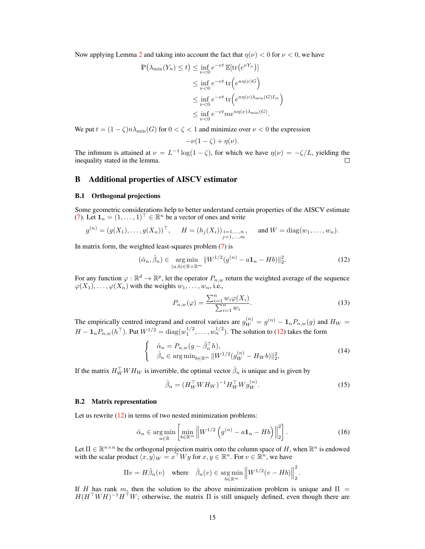Now applying Lemma [2](#page-12-7) and taking into account the fact that  $\eta(\nu) < 0$  for  $\nu < 0$ , we have

$$
\mathbb{P}(\lambda_{\min}(Y_n) \le t) \le \inf_{\nu < 0} e^{-\nu t} \mathbb{E}[\text{tr}(e^{\nu Y_n})]
$$
\n
$$
\le \inf_{\nu < 0} e^{-\nu t} \text{tr}(e^{n\eta(\nu)G})
$$
\n
$$
\le \inf_{\nu < 0} e^{-\nu t} \text{tr}(e^{n\eta(\nu)\lambda_{\min}(G)I_m})
$$
\n
$$
\le \inf_{\nu < 0} e^{-\nu t} m e^{n\eta(\nu)\lambda_{\min}(G)}.
$$

We put  $t = (1 - \zeta)n\lambda_{\min}(G)$  for  $0 < \zeta < 1$  and minimize over  $\nu < 0$  the expression

$$
-\nu(1-\zeta)+\eta(\nu).
$$

The infimum is attained at  $\nu = L^{-1} \log(1 - \zeta)$ , for which we have  $\eta(\nu) = -\zeta/L$ , yielding the inequality stated in the lemma.

# <span id="page-14-0"></span>B Additional properties of AISCV estimator

#### <span id="page-14-1"></span>B.1 Orthogonal projections

Some geometric considerations help to better understand certain properties of the AISCV estimate [\(7\)](#page-3-2). Let  $\mathbf{1}_n = (1, \ldots, 1)^\top \in \mathbb{R}^n$  be a vector of ones and write

$$
g^{(n)} = (g(X_1), \ldots, g(X_n))^{\top}, \quad H = (h_j(X_i))_{\substack{i=1,\ldots,n \\ j=1,\ldots,m}} \quad \text{and } W = \text{diag}(w_1, \ldots, w_n).
$$

In matrix form, the weighted least-squares problem [\(7\)](#page-3-2) is

$$
(\hat{\alpha}_n, \hat{\beta}_n) \in \underset{(a,b)\in \mathbb{R}\times \mathbb{R}^m}{\arg \min} ||W^{1/2}(g^{(n)} - a\mathbf{1}_n - Hb)||_2^2.
$$
 (12)

For any function  $\varphi : \mathbb{R}^d \to \mathbb{R}^p$ , let the operator  $P_{n,w}$  return the weighted average of the sequence  $\varphi(X_1), \ldots, \varphi(X_n)$  with the weights  $w_1, \ldots, w_n$ , i.e.,

<span id="page-14-5"></span><span id="page-14-3"></span>
$$
P_{n,w}(\varphi) = \frac{\sum_{i=1}^{n} w_i \varphi(X_i)}{\sum_{i=1}^{n} w_i}.
$$
\n(13)

The empirically centred integrand and control variates are  $g_W^{(n)} = g^{(n)} - \mathbf{1}_n P_{n,w}(g)$  and  $H_W =$  $H - \mathbf{1}_n P_{n,w}(h^{\top})$ . Put  $W^{1/2} = \text{diag}(w_1^{1/2}, \dots, w_n^{1/2})$ . The solution to [\(12\)](#page-14-3) takes the form

$$
\begin{cases} \n\hat{\alpha}_n = P_{n,w}(g - \hat{\beta}_n^\top h), \\
\hat{\beta}_n \in \arg \min_{b \in \mathbb{R}^m} \|W^{1/2}(g_W^{(n)} - H_W b)\|_2^2,\n\end{cases} \tag{14}
$$

If the matrix  $H_W^{\top}WH_W$  is invertible, the optimal vector  $\hat{\beta}_n$  is unique and is given by

$$
\hat{\beta}_n = (H_W^{\top} W H_W)^{-1} H_W^{\top} W g_W^{(n)}.
$$
\n(15)

<span id="page-14-6"></span><span id="page-14-4"></span>.

#### <span id="page-14-2"></span>B.2 Matrix representation

Let us rewrite  $(12)$  in terms of two nested minimization problems:

$$
\hat{\alpha}_n \in \underset{a \in \mathbb{R}}{\operatorname{arg\,min}} \left[ \underset{b \in \mathbb{R}^m}{\operatorname{min}} \left\| W^{1/2} \left( g^{(n)} - a \mathbf{1}_n - H b \right) \right\|_2^2 \right]. \tag{16}
$$

Let  $\Pi \in \mathbb{R}^{n \times n}$  be the orthogonal projection matrix onto the column space of H, when  $\mathbb{R}^n$  is endowed with the scalar product  $\langle x, y \rangle_W = x^\top W y$  for  $x, y \in \mathbb{R}^n$ . For  $v \in \mathbb{R}^n$ , we have

$$
\Pi v = H \hat{\beta}_n(v) \quad \text{where} \quad \hat{\beta}_n(v) \in \underset{b \in \mathbb{R}^m}{\arg \min} \left\| W^{1/2}(v - Hb) \right\|_2^2
$$

If H has rank m, then the solution to the above minimization problem is unique and  $\Pi$  =  $H(H<sup>T</sup>WH)<sup>-1</sup>H<sup>T</sup>W$ ; otherwise, the matrix  $\Pi$  is still uniquely defined, even though there are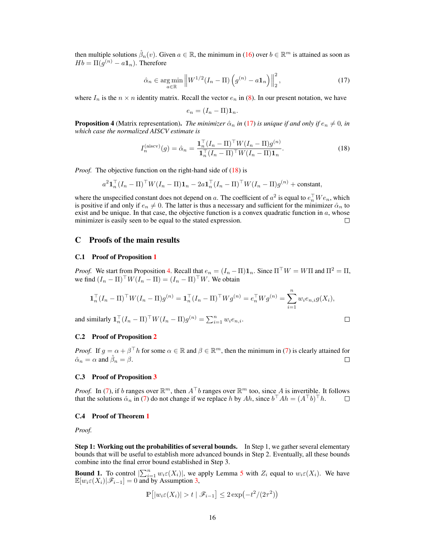then multiple solutions  $\hat{\beta}_n(v)$ . Given  $a \in \mathbb{R}$ , the minimum in [\(16\)](#page-14-4) over  $b \in \mathbb{R}^m$  is attained as soon as  $Hb = \Pi(g^{(n)} - a\mathbf{1}_n)$ . Therefore

<span id="page-15-5"></span>
$$
\hat{\alpha}_n \in \underset{a \in \mathbb{R}}{\text{arg min}} \left\| W^{1/2} (I_n - \Pi) \left( g^{(n)} - a \mathbf{1}_n \right) \right\|_2^2, \tag{17}
$$

where  $I_n$  is the  $n \times n$  identity matrix. Recall the vector  $e_n$  in [\(8\)](#page-3-3). In our present notation, we have

<span id="page-15-6"></span>
$$
e_n = (I_n - \Pi) \mathbf{1}_n.
$$

<span id="page-15-7"></span>**Proposition 4** (Matrix representation). *The minimizer*  $\hat{\alpha}_n$  *in* [\(17\)](#page-15-5) *is unique if and only if*  $e_n \neq 0$ *, in which case the normalized AISCV estimate is*

$$
I_n^{\text{(aiscv)}}(g) = \hat{\alpha}_n = \frac{\mathbf{1}_n^\top (I_n - \Pi)^\top W (I_n - \Pi) g^{(n)}}{\mathbf{1}_n^\top (I_n - \Pi)^\top W (I_n - \Pi) \mathbf{1}_n}.
$$
\n
$$
(18)
$$

*Proof.* The objective function on the right-hand side of [\(18\)](#page-15-6) is

$$
a^2 \mathbf{1}_n^\top (I_n - \Pi)^\top W (I_n - \Pi) \mathbf{1}_n - 2a \mathbf{1}_n^\top (I_n - \Pi)^\top W (I_n - \Pi) g^{(n)} + \text{constant},
$$

where the unspecified constant does not depend on a. The coefficient of  $a^2$  is equal to  $e_n^{\top}We_n$ , which is positive if and only if  $e_n \neq 0$ . The latter is thus a necessary and sufficient for the minimizer  $\hat{\alpha}_n$  to exist and be unique. In that case, the objective function is a convex quadratic function in  $a$ , whose minimizer is easily seen to be equal to the stated expression. П

## <span id="page-15-0"></span>C Proofs of the main results

#### <span id="page-15-1"></span>C.1 Proof of Proposition [1](#page-4-5)

*Proof.* We start from Proposition [4.](#page-15-7) Recall that  $e_n = (I_n - \Pi) \mathbf{1}_n$ . Since  $\Pi^{\top} W = W \Pi$  and  $\Pi^2 = \Pi$ , we find  $(I_n - \Pi)^{\top} W (I_n - \Pi) = (I_n - \Pi)^{\top} W$ . We obtain

$$
\mathbf{1}_n^\top (I_n - \Pi)^\top W (I_n - \Pi) g^{(n)} = \mathbf{1}_n^\top (I_n - \Pi)^\top W g^{(n)} = e_n^\top W g^{(n)} = \sum_{i=1}^n w_i e_{n,i} g(X_i),
$$

 $\Box$ 

and similarly  $\mathbf{1}_n^\top (I_n - \Pi)^\top W (I_n - \Pi) g^{(n)} = \sum_{i=1}^n w_i e_{n,i}$ .

<span id="page-15-2"></span>C.2 Proof of Proposition [2](#page-4-4)

*Proof.* If  $g = \alpha + \beta^{\top} h$  for some  $\alpha \in \mathbb{R}$  and  $\beta \in \mathbb{R}^m$ , then the minimum in [\(7\)](#page-3-2) is clearly attained for  $\hat{\alpha}_n = \alpha$  and  $\hat{\beta}_n = \beta$ .  $\Box$ 

### <span id="page-15-3"></span>C.3 Proof of Proposition [3](#page-5-0)

*Proof.* In [\(7\)](#page-3-2), if b ranges over  $\mathbb{R}^m$ , then  $A^{\top}b$  ranges over  $\mathbb{R}^m$  too, since A is invertible. It follows that the solutions  $\hat{\alpha}_n$  in [\(7\)](#page-3-2) do not change if we replace h by Ah, since  $b^\top A h = (A^\top b)^\top h$ .  $\Box$ 

#### <span id="page-15-4"></span>C.4 Proof of Theorem [1](#page-5-2)

*Proof.*

Step 1: Working out the probabilities of several bounds. In Step 1, we gather several elementary bounds that will be useful to establish more advanced bounds in Step 2. Eventually, all these bounds combine into the final error bound established in Step 3.

**Bound 1.** To control  $\left|\sum_{i=1}^n w_i \epsilon(X_i)\right|$ , we apply Lemma [5](#page-13-2) with  $Z_i$  equal to  $w_i \epsilon(X_i)$ . We have  $\mathbb{E}[w_i \in (X_i)|\mathscr{F}_{i-1}] = 0$  and by Assumption [3,](#page-5-3)

$$
\mathbb{P}\left[|w_i \varepsilon(X_i)| > t \mid \mathscr{F}_{i-1}\right] \leq 2\exp\left(-t^2/(2\tau^2)\right)
$$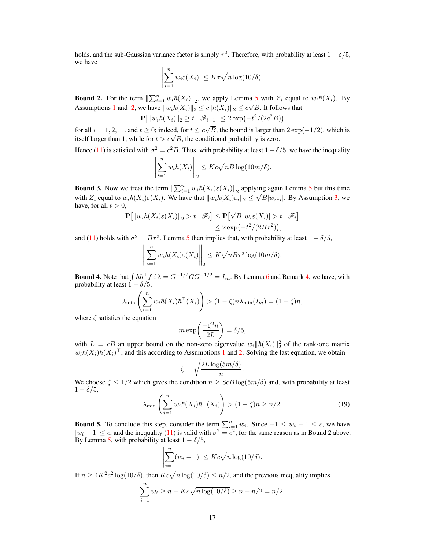holds, and the sub-Gaussian variance factor is simply  $\tau^2$ . Therefore, with probability at least  $1 - \delta/5$ , we have

$$
\left| \sum_{i=1}^{n} w_i \varepsilon(X_i) \right| \leq K \tau \sqrt{n \log(10/\delta)}.
$$

**Bound 2.** For the term  $\|\sum_{i=1}^n w_i \hbar(X_i)\|_2$ , we apply Lemma [5](#page-13-2) with  $Z_i$  equal to  $w_i \hbar(X_i)$ . By Assumptions [1](#page-5-4) and [2,](#page-5-1) we have  $||w_i \hbar(X_i)||_2 \le c ||\hbar(X_i)||_2 \le c\sqrt{B}$ . It follows that

$$
\mathbb{P}\left[\|w_i\hbar(X_i)\|_2 \ge t \mid \mathcal{F}_{i-1}\right] \le 2\exp\left(-t^2/(2c^2B)\right)
$$

for all  $i = 1, 2, \dots$  and  $t \geq 0$ ; indeed, for  $t \leq c$ B, the bound is larger than  $2 \exp(-1/2)$ , which is for an  $i = 1, 2, ...$  and  $i \ge 0$ ; indeed, for  $i \le c\sqrt{B}$ , the bound is larger than the state of  $t > c\sqrt{B}$ , the conditional probability is zero.

Hence [\(11\)](#page-13-3) is satisfied with  $\sigma^2 = c^2 B$ . Thus, with probability at least  $1 - \delta/5$ , we have the inequality

$$
\left\| \sum_{i=1}^n w_i \hbar(X_i) \right\|_2 \leq Kc\sqrt{nB \log(10m/\delta)}.
$$

**Bound 3.** Now we treat the term  $\left\| \sum_{i=1}^n w_i \hbar(X_i) \varepsilon(X_i) \right\|_2$  applying again Lemma [5](#page-13-2) but this time with  $Z_i$  equal to  $w_i \hbar(X_i) \varepsilon(X_i)$ . We have that  $||w_i \hbar(X_i) \varepsilon_i||_2 \le \sqrt{B} |w_i \varepsilon_i|$ . By Assumption [3,](#page-5-3) we have, for all  $t > 0$ , √

$$
\mathbb{P}\big[\|w_i\hbar(X_i)\varepsilon(X_i)\|_2 > t \mid \mathscr{F}_i\big] \le \mathbb{P}\big[\sqrt{B}\,|w_i\varepsilon(X_i)| > t \mid \mathscr{F}_i\big] \le 2\exp(-t^2/(2B\tau^2)),
$$

and [\(11\)](#page-13-3) holds with  $\sigma^2 = B\tau^2$ . Lemma [5](#page-13-2) then implies that, with probability at least  $1 - \delta/5$ ,

$$
\left\| \sum_{i=1}^n w_i \hbar(X_i) \varepsilon(X_i) \right\|_2 \leq K \sqrt{n B \tau^2 \log(10m/\delta)}.
$$

**Bound 4.** Note that  $\int \hbar \hbar^{\top} f d\lambda = G^{-1/2} G G^{-1/2} = I_m$ . By Lemma [6](#page-13-1) and Remark [4,](#page-13-4) we have, with probability at least  $1 - \delta/5$ ,

$$
\lambda_{\min} \left( \sum_{i=1}^{n} w_i \hbar(X_i) \hbar^{\top}(X_i) \right) > (1 - \zeta) n \lambda_{\min}(I_m) = (1 - \zeta) n,
$$

where  $\zeta$  satisfies the equation

$$
m \exp\left(\frac{-\zeta^2 n}{2L}\right) = \delta/5,
$$

with  $L = cB$  an upper bound on the non-zero eigenvalue  $w_i ||h(X_i)||_2^2$  of the rank-one matrix  $w_i \hbar (X_i) \hbar (X_i)^{\top}$ , and this according to Assumptions [1](#page-5-4) and [2.](#page-5-1) Solving the last equation, we obtain

$$
\zeta = \sqrt{\frac{2L\log(5m/\delta)}{n}}.
$$

We choose  $\zeta \leq 1/2$  which gives the condition  $n \geq 8cB \log(5m/\delta)$  and, with probability at least  $1 - \delta/5$ ,

$$
\lambda_{\min}\left(\sum_{i=1}^n w_i \hbar(X_i) \hbar^{\top}(X_i)\right) > (1-\zeta)n \ge n/2. \tag{19}
$$

**Bound 5.** To conclude this step, consider the term  $\sum_{i=1}^{n} w_i$ . Since  $-1 \leq w_i - 1 \leq c$ , we have  $|w_i - 1| \leq c$ , and the inequality [\(11\)](#page-13-3) is valid with  $\sigma^2 = c^2$ , for the same reason as in Bound 2 above. By Lemma [5,](#page-13-2) with probability at least  $1 - \delta/5$ ,

$$
\left|\sum_{i=1}^{n} (w_i - 1)\right| \leq Kc\sqrt{n \log(10/\delta)}.
$$

If  $n \ge 4K^2c^2 \log(10/\delta)$ , then  $Kc\sqrt{n \log(10/\delta)} \le n/2$ , and the previous inequality implies

$$
\sum_{i=1}^{n} w_i \ge n - Kc\sqrt{n \log(10/\delta)} \ge n - n/2 = n/2.
$$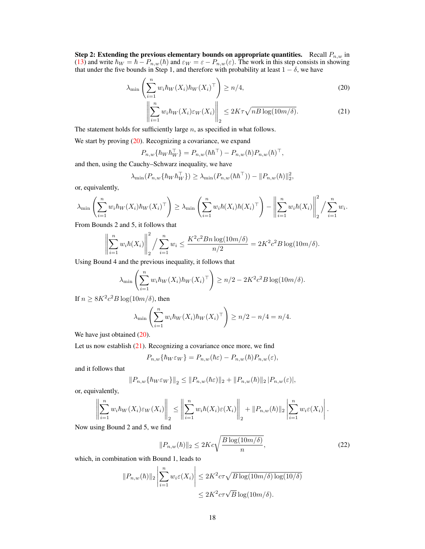Step 2: Extending the previous elementary bounds on appropriate quantities. Recall  $P_{n,w}$  in [\(13\)](#page-14-5) and write  $\hbar_W = \hbar - P_{n,w}(\hbar)$  and  $\varepsilon_W = \varepsilon - P_{n,w}(\varepsilon)$ . The work in this step consists in showing that under the five bounds in Step 1, and therefore with probability at least  $1 - \delta$ , we have

$$
\lambda_{\min}\left(\sum_{i=1}^{n} w_i \hbar_W(X_i) \hbar_W(X_i)^\top\right) \ge n/4,
$$
\n(20)

<span id="page-17-1"></span><span id="page-17-0"></span>
$$
\left\| \sum_{i=1}^{n} w_i \hbar_W(X_i) \varepsilon_W(X_i) \right\|_2 \le 2K\tau \sqrt{nB \log(10m/\delta)}.
$$
 (21)

The statement holds for sufficiently large  $n$ , as specified in what follows.

We start by proving [\(20\)](#page-17-0). Recognizing a covariance, we expand

$$
P_{n,w}\{\hbar_{\boldsymbol{W}}\hbar_{\boldsymbol{W}}^{\top}\} = P_{n,w}(\hbar\hbar^{\top}) - P_{n,w}(\hbar)P_{n,w}(\hbar)^{\top},
$$

and then, using the Cauchy–Schwarz inequality, we have

$$
\lambda_{\min}(P_{n,w}\{\hbar_{W} \hbar_{W}^{\top}\}) \geq \lambda_{\min}(P_{n,w}(\hbar \hbar^{\top})) - ||P_{n,w}(\hbar)||_{2}^{2},
$$

or, equivalently,

$$
\lambda_{\min} \left( \sum_{i=1}^n w_i \hbar_W(X_i) \hbar_W(X_i)^\top \right) \geq \lambda_{\min} \left( \sum_{i=1}^n w_i \hbar(X_i) \hbar(X_i)^\top \right) - \left\| \sum_{i=1}^n w_i \hbar(X_i) \right\|_2^2 / \sum_{i=1}^n w_i.
$$

From Bounds 2 and 5, it follows that

$$
\left\| \sum_{i=1}^n w_i \hbar(X_i) \right\|_2^2 / \sum_{i=1}^n w_i \le \frac{K^2 c^2 B n \log(10 m/\delta)}{n/2} = 2K^2 c^2 B \log(10 m/\delta).
$$

Using Bound 4 and the previous inequality, it follows that

$$
\lambda_{\min}\left(\sum_{i=1}^n w_i \hbar_W(X_i) \hbar_W(X_i)^{\top}\right) \ge n/2 - 2K^2c^2B\log(10m/\delta).
$$

If  $n \geq 8K^2c^2B\log(10m/\delta)$ , then

$$
\lambda_{\min}\left(\sum_{i=1}^n w_i \hbar_W(X_i) \hbar_W(X_i)^\top\right) \ge n/2 - n/4 = n/4.
$$

We have just obtained  $(20)$ .

Let us now establish [\(21\)](#page-17-1). Recognizing a covariance once more, we find

$$
P_{n,w}\{\hbar_W \varepsilon_W\} = P_{n,w}(\hbar \varepsilon) - P_{n,w}(\hbar) P_{n,w}(\varepsilon),
$$

and it follows that

$$
||P_{n,w}\{\hbar_{W}\varepsilon_{W}\}||_{2} \leq ||P_{n,w}(\hbar\varepsilon)||_{2} + ||P_{n,w}(\hbar)||_{2} ||P_{n,w}(\varepsilon)|,
$$

or, equivalently,

$$
\left\| \sum_{i=1}^n w_i \hbar_W(X_i) \varepsilon_W(X_i) \right\|_2 \le \left\| \sum_{i=1}^n w_i \hbar(X_i) \varepsilon(X_i) \right\|_2 + \|P_{n,w}(\hbar)\|_2 \left| \sum_{i=1}^n w_i \varepsilon(X_i) \right|.
$$

Now using Bound 2 and 5, we find

<span id="page-17-2"></span>
$$
||P_{n,w}(\hbar)||_2 \le 2Kc\sqrt{\frac{B\log(10m/\delta)}{n}},\tag{22}
$$

which, in combination with Bound 1, leads to

$$
||P_{n,w}(\hbar)||_2 \left| \sum_{i=1}^n w_i \varepsilon(X_i) \right| \le 2K^2 c \tau \sqrt{B \log(10m/\delta) \log(10/\delta)}
$$
  

$$
\le 2K^2 c \tau \sqrt{B \log(10m/\delta)}.
$$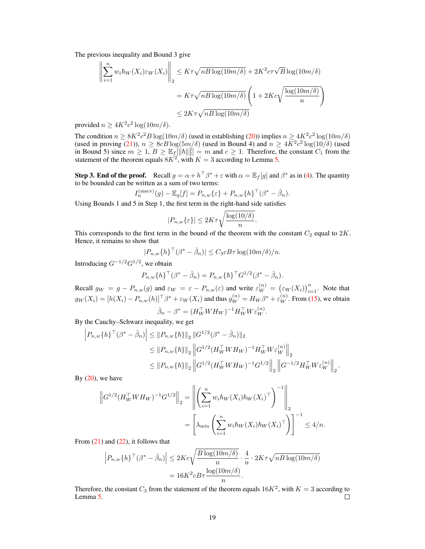The previous inequality and Bound 3 give

$$
\left\| \sum_{i=1}^{n} w_i \hbar_W(X_i) \varepsilon_W(X_i) \right\|_2 \le K\tau \sqrt{nB \log(10m/\delta)} + 2K^2 c \tau \sqrt{B} \log(10m/\delta)
$$

$$
= K\tau \sqrt{nB \log(10m/\delta)} \left(1 + 2Kc\sqrt{\frac{\log(10m/\delta)}{n}}\right)
$$

$$
\le 2K\tau \sqrt{nB \log(10m/\delta)}
$$

provided  $n \geq 4K^2c^2 \log(10m/\delta)$ .

The condition  $n \geq 8K^2c^2B\log(10m/\delta)$  (used in establishing [\(20\)](#page-17-0)) implies  $n \geq 4K^2c^2\log(10m/\delta)$ (used in proving [\(21\)](#page-17-1)),  $n \ge 8cB \log(5m/\delta)$  (used in Bound 4) and  $n \ge 4K^2c^2 \log(10/\delta)$  (used in Bound 5) since  $m \geq 1, B \geq \mathbb{E}_f[||\hbar||_2^2] = m$  and  $c \geq 1$ . Therefore, the constant  $C_1$  from the statement of the theorem equals  $8K^2$ , with  $K = 3$  according to Lemma [5.](#page-13-2)

**Step 3. End of the proof.** Recall  $g = \alpha + h^{\top} \beta^* + \varepsilon$  with  $\alpha = \mathbb{E}_f[g]$  and  $\beta^*$  as in [\(4\)](#page-2-5). The quantity to be bounded can be written as a sum of two terms:

$$
I_n^{\text{(aiscv)}}(g) - \mathbb{E}_g[f] = P_{n,w}\{\varepsilon\} + P_{n,w}\{h\}^\top(\beta^* - \hat{\beta}_n).
$$

Using Bounds 1 and 5 in Step 1, the first term in the right-hand side satisfies

$$
|P_{n,w}\{\varepsilon\}| \le 2K\tau \sqrt{\frac{\log(10/\delta)}{n}}
$$

.

This corresponds to the first term in the bound of the theorem with the constant  $C_2$  equal to  $2K$ . Hence, it remains to show that

$$
|P_{n,w}\{h\}^\top(\beta^* - \hat{\beta}_n)| \leq C_3 c B \tau \log(10m/\delta)/n.
$$

Introducing  $G^{-1/2}G^{1/2}$ , we obtain

$$
P_{n,w}\{h\}^{\top}(\beta^* - \hat{\beta}_n) = P_{n,w}\{\hbar\}^{\top}G^{1/2}(\beta^* - \hat{\beta}_n).
$$

Recall  $g_W = g - P_{n,w}(g)$  and  $\varepsilon_W = \varepsilon - P_{n,w}(\varepsilon)$  and write  $\varepsilon_W^{(n)} = (\varepsilon_W(X_i))_{i=1}^n$ . Note that  $g_W(X_i) = [h(X_i) - P_{n,w}(h)]^\top \beta^* + \varepsilon_W(X_i)$  and thus  $g_W^{(n)} = H_W \beta^* + \varepsilon_W^{(n)}$ . From [\(15\)](#page-14-6), we obtain  $\hat{\beta}_n - \beta^* = (H_W^{\top} W H_W)^{-1} H_W^{\top} W \varepsilon_W^{(n)}.$ 

By the Cauchy–Schwarz inequality, we get

$$
\left| P_{n,w} \{ h \}^{\top} (\beta^* - \hat{\beta}_n) \right| \leq \| P_{n,w} \{ h \} \|_2 \| G^{1/2} (\beta^* - \hat{\beta}_n) \|_2
$$
  
\n
$$
\leq \| P_{n,w} \{ h \} \|_2 \| G^{1/2} (H_W^{\top} W H_W)^{-1} H_W^{\top} W \varepsilon_W^{(n)} \|_2
$$
  
\n
$$
\leq \| P_{n,w} \{ h \} \|_2 \| G^{1/2} (H_W^{\top} W H_W)^{-1} G^{1/2} \|_2 \| G^{-1/2} H_W^{\top} W \varepsilon_W^{(n)} \|_2 .
$$

By  $(20)$ , we have

$$
\|G^{1/2}(H_{W}^{\top}WH_{W})^{-1}G^{1/2}\|_{2} = \left\| \left(\sum_{i=1}^{n} w_{i}\hbar_{W}(X_{i})\hbar_{W}(X_{i})^{\top}\right)^{-1} \right\|_{2}
$$
  
=  $\left[\lambda_{\min}\left(\sum_{i=1}^{n} w_{i}\hbar_{W}(X_{i})\hbar_{W}(X_{i})^{\top}\right)\right]^{-1} \leq 4/n.$ 

From  $(21)$  and  $(22)$ , it follows that

$$
\left| P_{n,w} \{ h \}^{\top} (\beta^* - \hat{\beta}_n) \right| \le 2Kc \sqrt{\frac{B \log(10m/\delta)}{n}} \cdot \frac{4}{n} \cdot 2K\tau \sqrt{nB \log(10m/\delta)}
$$

$$
= 16K^2 cB\tau \frac{\log(10m/\delta)}{n}.
$$

Therefore, the constant  $C_3$  from the statement of the theorem equals  $16K^2$ , with  $K = 3$  according to Lemma [5.](#page-13-2)  $\Box$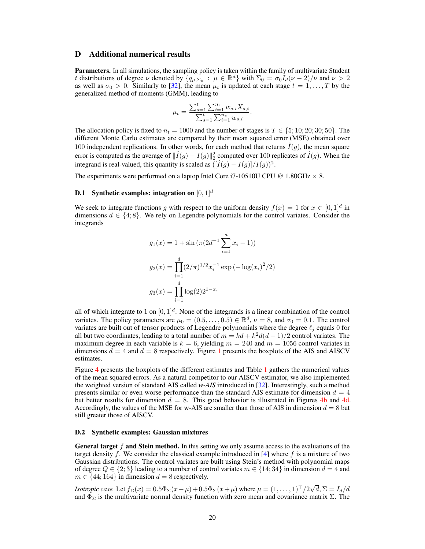# <span id="page-19-0"></span>D Additional numerical results

Parameters. In all simulations, the sampling policy is taken within the family of multivariate Student t distributions of degree  $\nu$  denoted by  $\{q_{\mu,\Sigma_0} : \mu \in \mathbb{R}^d\}$  with  $\Sigma_0 = \sigma_0 \widetilde{I}_d(\nu - 2)/\nu$  and  $\nu > 2$ as well as  $\sigma_0 > 0$ . Similarly to [\[32\]](#page-10-2), the mean  $\mu_t$  is updated at each stage  $t = 1, \ldots, T$  by the generalized method of moments (GMM), leading to

$$
\mu_t = \frac{\sum_{s=1}^t \sum_{i=1}^{n_s} w_{s,i} X_{s,i}}{\sum_{s=1}^t \sum_{i=1}^{n_s} w_{s,i}}.
$$

The allocation policy is fixed to  $n_t = 1000$  and the number of stages is  $T \in \{5, 10, 20, 30, 50\}$ . The different Monte Carlo estimates are compared by their mean squared error (MSE) obtained over 100 independent replications. In other words, for each method that returns  $I(g)$ , the mean square error is computed as the average of  $\|\hat{I}(g) - I(g)\|_2^2$  computed over 100 replicates of  $\hat{I}(g)$ . When the integrand is real-valued, this quantity is scaled as  $(\hat{I}(g) - I(g)]/I(g))^2$ .

The experiments were performed on a laptop Intel Core i7-10510U CPU @ 1.80GHz  $\times$  8.

## <span id="page-19-1"></span>**D.1** Synthetic examples: integration on  $[0, 1]^d$

We seek to integrate functions g with respect to the uniform density  $f(x) = 1$  for  $x \in [0,1]^d$  in dimensions  $d \in \{4, 8\}$ . We rely on Legendre polynomials for the control variates. Consider the integrands

$$
g_1(x) = 1 + \sin(\pi(2d^{-1}\sum_{i=1}^d x_i - 1))
$$

$$
g_2(x) = \prod_{i=1}^d (2/\pi)^{1/2} x_i^{-1} \exp(-\log(x_i)^2/2)
$$

$$
g_3(x) = \prod_{i=1}^d \log(2) 2^{1-x_i}
$$

all of which integrate to 1 on  $[0, 1]^d$ . None of the integrands is a linear combination of the control variates. The policy parameters are  $\mu_0 = (0.5, \dots, 0.5) \in \mathbb{R}^d$ ,  $\nu = 8$ , and  $\sigma_0 = 0.1$ . The control variates are built out of tensor products of Legendre polynomials where the degree  $\ell_j$  equals 0 for all but two coordinates, leading to a total number of  $m = kd + k^2d(d-1)/2$  control variates. The maximum degree in each variable is  $k = 6$ , yielding  $m = 240$  and  $m = 1056$  control variates in dimensions  $d = 4$  and  $d = 8$  respectively. Figure [1](#page-7-2) presents the boxplots of the AIS and AISCV estimates.

Figure [4](#page-20-2) presents the boxplots of the different estimates and Table [1](#page-20-0) gathers the numerical values of the mean squared errors. As a natural competitor to our AISCV estimator, we also implemented the weighted version of standard AIS called *w-AIS* introduced in [\[32\]](#page-10-2). Interestingly, such a method presents similar or even worse performance than the standard AIS estimate for dimension  $d = 4$ but better results for dimension  $d = 8$ . This good behavior is illustrated in Figures [4b](#page-20-2) and [4d.](#page-20-2) Accordingly, the values of the MSE for w-AIS are smaller than those of AIS in dimension  $d = 8$  but still greater those of AISCV.

#### <span id="page-19-2"></span>D.2 Synthetic examples: Gaussian mixtures

General target f and Stein method. In this setting we only assume access to the evaluations of the target density  $f$ . We consider the classical example introduced in [\[4\]](#page-9-2) where  $f$  is a mixture of two Gaussian distributions. The control variates are built using Stein's method with polynomial maps of degree  $Q \in \{2,3\}$  leading to a number of control variates  $m \in \{14,34\}$  in dimension  $d = 4$  and  $m \in \{44; 164\}$  in dimension  $d = 8$  respectively.

*Isotropic case.* Let  $f_{\Sigma}(x) = 0.5\Phi_{\Sigma}(x-\mu) + 0.5\Phi_{\Sigma}(x+\mu)$  where  $\mu = (1, \ldots, 1)^{\top}/2\sqrt{2}$  $d, \Sigma = I_d/d$ and  $\Phi_{\Sigma}$  is the multivariate normal density function with zero mean and covariance matrix  $\Sigma$ . The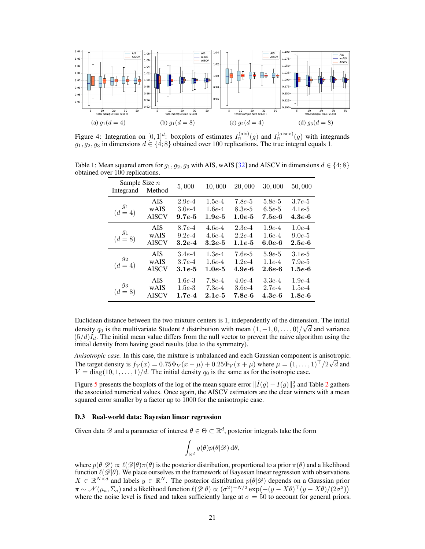<span id="page-20-2"></span>

Figure 4: Integration on  $[0,1]^d$ : boxplots of estimates  $I_n^{\text{(ais)}}(g)$  and  $I_n^{\text{(aiscv)}}(g)$  with integrands  $g_1, g_2, g_3$  in dimensions  $d \in \{4, 8\}$  obtained over 100 replications. The true integral equals 1.

| Integrand          | Sample Size $n$<br>Method          |                                  | 10,000                           | 20,000                           | 30,000                           | 50,000                           |
|--------------------|------------------------------------|----------------------------------|----------------------------------|----------------------------------|----------------------------------|----------------------------------|
| $g_1$<br>$(d = 4)$ | <b>AIS</b><br>wAIS<br><b>AISCV</b> | $2.9e-4$<br>$3.0e-4$<br>$9.7e-5$ | $1.5e-4$<br>$1.6e-4$<br>$1.9e-5$ | $7.8e-5$<br>$8.3e-5$<br>$1.0e-5$ | $5.8e-5$<br>$6.5e-5$<br>$7.5e-6$ | $3.7e-5$<br>$4.1e-5$<br>$4.3e-6$ |
| $g_1$<br>$(d = 8)$ | <b>AIS</b><br>wAIS<br><b>AISCV</b> | $8.7e-4$<br>$9.2e-4$<br>$3.2e-4$ | $4.6e-4$<br>$4.6e-4$<br>$3.2e-5$ | $2.3e-4$<br>$2.2e-4$<br>$1.1e-5$ | $1.9e-4$<br>$1.6e-4$<br>$6.0e-6$ | $1.0e-4$<br>$9.0e-5$<br>$2.5e-6$ |
| $g_2$<br>$(d = 4)$ | <b>AIS</b><br>wAIS<br><b>AISCV</b> | $3.4e-4$<br>$3.7e-4$<br>$3.1e-5$ | $1.3e-4$<br>$1.6e-4$<br>$1.0e-5$ | $7.6e-5$<br>$1.2e-4$<br>$4.9e-6$ | $5.9e-5$<br>$1.1e-4$<br>$2.6e-6$ | $3.1e-5$<br>$7.9e-5$<br>$1.5e-6$ |
| $g_3$<br>$(d = 8)$ | <b>AIS</b><br>wAIS<br><b>AISCV</b> | $1.6e-3$<br>$1.5e-3$<br>$1.7e-4$ | 7.8e-4<br>$7.3e-4$<br>$2.1e-5$   | $4.0e-4$<br>$3.6e-4$<br>$7.8e-6$ | $3.3e-4$<br>$2.7e-4$<br>$4.3e-6$ | $1.9e-4$<br>$1.5e-4$<br>$1.8e-6$ |

<span id="page-20-0"></span>Table 1: Mean squared errors for  $g_1, g_2, g_3$  with AIS, wAIS [\[32\]](#page-10-2) and AISCV in dimensions  $d \in \{4, 8\}$ obtained over 100 replications.

Euclidean distance between the two mixture centers is 1, independently of the dimension. The initial density  $q_0$  is the multivariate Student t distribution with mean  $(1, -1, 0, \ldots, 0)/\sqrt{d}$  and variance  $(5/d)I<sub>d</sub>$ . The initial mean value differs from the null vector to prevent the naive algorithm using the initial density from having good results (due to the symmetry).

*Anisotropic case.* In this case, the mixture is unbalanced and each Gaussian component is anisotropic. The target density is  $f_V(x) = 0.75\Phi_V(x-\mu) + 0.25\Phi_V(x+\mu)$  where  $\mu = (1, \dots, 1)^{\top}/2\sqrt{d}$  and  $V = \text{diag}(10, 1, \ldots, 1)/d$ . The initial density  $q_0$  is the same as for the isotropic case.

Figure [5](#page-21-1) presents the boxplots of the log of the mean square error  $\|\hat{I}(g) - I(g)\|_2^2$  $\|\hat{I}(g) - I(g)\|_2^2$  $\|\hat{I}(g) - I(g)\|_2^2$  and Table 2 gathers the associated numerical values. Once again, the AISCV estimators are the clear winners with a mean squared error smaller by a factor up to 1000 for the anisotropic case.

#### <span id="page-20-1"></span>D.3 Real-world data: Bayesian linear regression

Given data  $\mathscr D$  and a parameter of interest  $\theta \in \Theta \subset \mathbb R^d,$  posterior integrals take the form

$$
\int_{\mathbb{R}^d} g(\theta)p(\theta|\mathscr{D})\,\mathrm{d}\theta,
$$

where  $p(\theta|\mathscr{D})\propto\ell(\mathscr{D}|\theta)\pi(\theta)$  is the posterior distribution, proportional to a prior  $\pi(\theta)$  and a likelihood function  $\ell(\mathscr{D}|\theta)$ . We place ourselves in the framework of Bayesian linear regression with observations  $X \in \mathbb{R}^{N \times d}$  and labels  $y \in \mathbb{R}^N$ . The posterior distribution  $p(\theta|\mathscr{D})$  depends on a Gaussian prior  $\pi \sim \mathcal{N}(\mu_a, \Sigma_a)$  and a likelihood function  $\ell(\mathscr{D}|\theta) \propto (\sigma^2)^{-N/2} \exp(-(y - X\theta)^{\top}(y - X\theta)/(2\sigma^2))$ where the noise level is fixed and taken sufficiently large at  $\sigma = 50$  to account for general priors.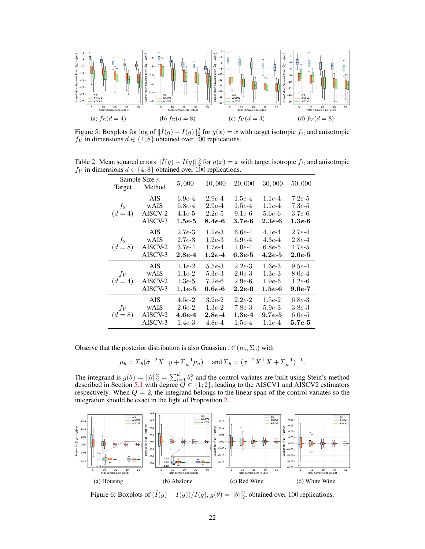<span id="page-21-1"></span>

Figure 5: Boxplots for log of  $\|\hat{I}(g) - I(g)\|_2^2$  for  $g(x) = x$  with target isotropic  $f_{\Sigma}$  and anisotropic  $f_V$  in dimensions  $d \in \{4, 8\}$  obtained over 100 replications.

<span id="page-21-0"></span>Table 2: Mean squared errors  $\|\hat{I}(g) - I(g)\|_2^2$  for  $g(x) = x$  with target isotropic  $f_{\Sigma}$  and anisotropic  $f_V$  in dimensions  $d \in \{4, 8\}$  obtained over 100 replications.

| Sample Size $n$<br>Target Method |            | 5,000    | 10,000          | 20,000     | 30,000          | 50,000     |
|----------------------------------|------------|----------|-----------------|------------|-----------------|------------|
|                                  | AIS.       | $6.9e-4$ | $2.9e-4$        | $1.5e-4$   | $1.1e-4$        | $7.2e-5$   |
| $f_{\Sigma}$                     | wAIS       | $6.8e-4$ | $2.9e-4$        | $1.5e-4$   | $1.1e-4$        | $7.3e-5$   |
| $(d = 4)$                        | AISCV-2    | $4.1e-5$ | $2.2e-5$        | $9.1e-6$   | $5.6e-6$        | $3.7e-6$   |
|                                  | AISCV-3    | $1.5e-5$ | $8.4e-6$        | $3.7e-6$   | 2.3e-6          | $1.3e-6$   |
|                                  | <b>AIS</b> | $2.7e-3$ | $1.2e-3$        | $6.6e-4$   | $4.1e-4$        | $2.7e-4$   |
| $f_{\Sigma}$                     | wAIS       | $2.7e-3$ | $1.2e-3$        | $6.9e-4$   | $4.3e-4$        | $2.8e-4$   |
| $(d = 8)$                        | AISCV-2    | $3.7e-4$ | $1.7e-4$        | $1.0e-4$   | $6.8e-5$        | $4.7e-5$   |
|                                  | AISCV-3    | $2.8e-4$ | $1.2e-4$        | $6.3e-5$   | $4.2e-5$        | $2.6e-5$   |
|                                  | <b>AIS</b> | $1.1e-2$ | $5.5e-3$        | $2.2e-3$   | $1.6e-3$        | $9.5e-4$   |
| $f_V$                            | wAIS       | $1.1e-2$ | $5.3e - 3$      | $2.0e-3$   | $1.3e-3$        | $8.0e-4$   |
| $(d = 4)$                        | AISCV-2    | $1.3e-5$ | $7.2e\hbox{-}6$ | $2.9e-6$   | $1.9e-6$        | $1.2e-6$   |
|                                  | AISCV-3    | $1.1e-5$ | 6.6e-6          | $2.2e-6$   | $1.5e-6$        | $9.6e-7$   |
|                                  | AIS.       | $4.5e-2$ | $3.2e-2$        | $2.2e-2$   | $1.5e-2$        | $6.8e-3$   |
| $f_V$                            | wAIS       | $2.6e-2$ | $1.3e-2$        | $7.8e - 3$ | $5.9e-3$        | $3.8e - 3$ |
| $(d = 8)$                        | AISCV-2    | $4.6e-4$ | $2.8e-4$        | $1.3e-4$   | $9.7e\hbox{-}5$ | $6.0e-5$   |
|                                  | AISCV-3    | $1.4e-3$ | $4.8e - 4$      | $1.5e-4$   | $1.1e-4$        | $5.7e-5$   |

Observe that the posterior distribution is also Gaussian  $\mathcal{N}(\mu_b, \Sigma_b)$  with

$$
\mu_b = \Sigma_b (\sigma^{-2} X^\top y + \Sigma_a^{-1} \mu_a)
$$
 and  $\Sigma_b = (\sigma^{-2} X^\top X + \Sigma_a^{-1})^{-1}$ .

The integrand is  $g(\theta) = ||\theta||_2^2 = \sum_{i=1}^d \theta_i^2$  and the control variates are built using Stein's method described in Section [5.1](#page-6-1) with degree  $Q \in \{1, 2\}$ , leading to the AISCV1 and AISCV2 estimators respectively. When  $Q = 2$ , the integrand belongs to the linear span of the control variates so the integration should be exact in the light of Proposition [2.](#page-4-4)

<span id="page-21-2"></span>

Figure 6: Boxplots of  $(\hat{I}(g) - I(g)) / I(g)$ ,  $g(\theta) = ||\theta||_2^2$ , obtained over 100 replications.